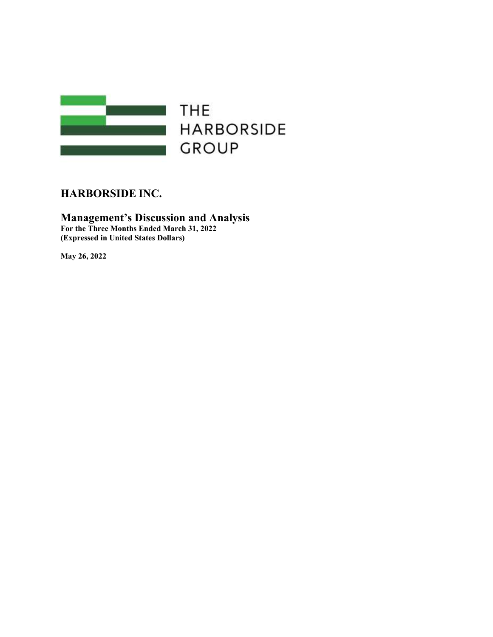

**HARBORSIDE GROUP** 

# HARBORSIDE INC.

## Management's Discussion and Analysis For the Three Months Ended March 31, 2022 (Expressed in United States Dollars)

May 26, 2022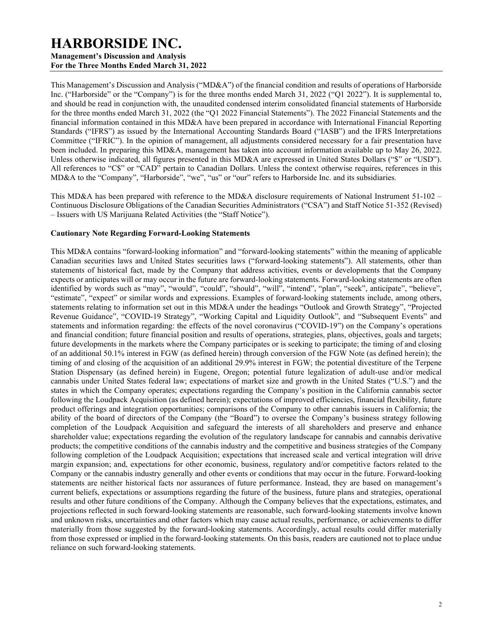# HARBORSIDE INC.

Management's Discussion and Analysis For the Three Months Ended March 31, 2022

This Management's Discussion and Analysis ("MD&A") of the financial condition and results of operations of Harborside Inc. ("Harborside" or the "Company") is for the three months ended March 31, 2022 ("Q1 2022"). It is supplemental to, and should be read in conjunction with, the unaudited condensed interim consolidated financial statements of Harborside for the three months ended March 31, 2022 (the "Q1 2022 Financial Statements"). The 2022 Financial Statements and the financial information contained in this MD&A have been prepared in accordance with International Financial Reporting Standards ("IFRS") as issued by the International Accounting Standards Board ("IASB") and the IFRS Interpretations Committee ("IFRIC"). In the opinion of management, all adjustments considered necessary for a fair presentation have been included. In preparing this MD&A, management has taken into account information available up to May 26, 2022. Unless otherwise indicated, all figures presented in this MD&A are expressed in United States Dollars ("\$" or "USD"). All references to "C\$" or "CAD" pertain to Canadian Dollars. Unless the context otherwise requires, references in this MD&A to the "Company", "Harborside", "we", "us" or "our" refers to Harborside Inc. and its subsidiaries.

This MD&A has been prepared with reference to the MD&A disclosure requirements of National Instrument 51-102 – Continuous Disclosure Obligations of the Canadian Securities Administrators ("CSA") and Staff Notice 51-352 (Revised) – Issuers with US Marijuana Related Activities (the "Staff Notice").

## Cautionary Note Regarding Forward-Looking Statements

This MD&A contains "forward-looking information" and "forward-looking statements" within the meaning of applicable Canadian securities laws and United States securities laws ("forward-looking statements"). All statements, other than statements of historical fact, made by the Company that address activities, events or developments that the Company expects or anticipates will or may occur in the future are forward-looking statements. Forward-looking statements are often identified by words such as "may", "would", "could", "should", "will", "intend", "plan", "seek", anticipate", "believe", "estimate", "expect" or similar words and expressions. Examples of forward-looking statements include, among others, statements relating to information set out in this MD&A under the headings "Outlook and Growth Strategy", "Projected Revenue Guidance", "COVID-19 Strategy", "Working Capital and Liquidity Outlook", and "Subsequent Events" and statements and information regarding: the effects of the novel coronavirus ("COVID-19") on the Company's operations and financial condition; future financial position and results of operations, strategies, plans, objectives, goals and targets; future developments in the markets where the Company participates or is seeking to participate; the timing of and closing of an additional 50.1% interest in FGW (as defined herein) through conversion of the FGW Note (as defined herein); the timing of and closing of the acquisition of an additional 29.9% interest in FGW; the potential divestiture of the Terpene Station Dispensary (as defined herein) in Eugene, Oregon; potential future legalization of adult-use and/or medical cannabis under United States federal law; expectations of market size and growth in the United States ("U.S.") and the states in which the Company operates; expectations regarding the Company's position in the California cannabis sector following the Loudpack Acquisition (as defined herein); expectations of improved efficiencies, financial flexibility, future product offerings and integration opportunities; comparisons of the Company to other cannabis issuers in California; the ability of the board of directors of the Company (the "Board") to oversee the Company's business strategy following completion of the Loudpack Acquisition and safeguard the interests of all shareholders and preserve and enhance shareholder value; expectations regarding the evolution of the regulatory landscape for cannabis and cannabis derivative products; the competitive conditions of the cannabis industry and the competitive and business strategies of the Company following completion of the Loudpack Acquisition; expectations that increased scale and vertical integration will drive margin expansion; and, expectations for other economic, business, regulatory and/or competitive factors related to the Company or the cannabis industry generally and other events or conditions that may occur in the future. Forward-looking statements are neither historical facts nor assurances of future performance. Instead, they are based on management's current beliefs, expectations or assumptions regarding the future of the business, future plans and strategies, operational results and other future conditions of the Company. Although the Company believes that the expectations, estimates, and projections reflected in such forward-looking statements are reasonable, such forward-looking statements involve known and unknown risks, uncertainties and other factors which may cause actual results, performance, or achievements to differ materially from those suggested by the forward-looking statements. Accordingly, actual results could differ materially from those expressed or implied in the forward-looking statements. On this basis, readers are cautioned not to place undue reliance on such forward-looking statements.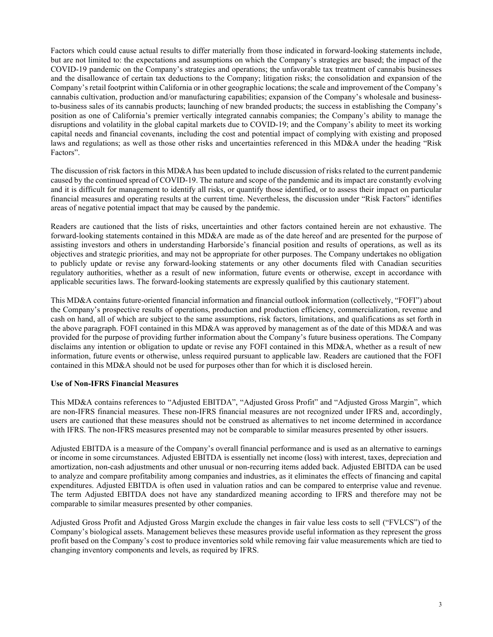Factors which could cause actual results to differ materially from those indicated in forward-looking statements include, but are not limited to: the expectations and assumptions on which the Company's strategies are based; the impact of the COVID-19 pandemic on the Company's strategies and operations; the unfavorable tax treatment of cannabis businesses and the disallowance of certain tax deductions to the Company; litigation risks; the consolidation and expansion of the Company's retail footprint within California or in other geographic locations; the scale and improvement of the Company's cannabis cultivation, production and/or manufacturing capabilities; expansion of the Company's wholesale and businessto-business sales of its cannabis products; launching of new branded products; the success in establishing the Company's position as one of California's premier vertically integrated cannabis companies; the Company's ability to manage the disruptions and volatility in the global capital markets due to COVID-19; and the Company's ability to meet its working capital needs and financial covenants, including the cost and potential impact of complying with existing and proposed laws and regulations; as well as those other risks and uncertainties referenced in this MD&A under the heading "Risk Factors".

The discussion of risk factors in this MD&A has been updated to include discussion of risks related to the current pandemic caused by the continued spread of COVID-19. The nature and scope of the pandemic and its impact are constantly evolving and it is difficult for management to identify all risks, or quantify those identified, or to assess their impact on particular financial measures and operating results at the current time. Nevertheless, the discussion under "Risk Factors" identifies areas of negative potential impact that may be caused by the pandemic.

Readers are cautioned that the lists of risks, uncertainties and other factors contained herein are not exhaustive. The forward-looking statements contained in this MD&A are made as of the date hereof and are presented for the purpose of assisting investors and others in understanding Harborside's financial position and results of operations, as well as its objectives and strategic priorities, and may not be appropriate for other purposes. The Company undertakes no obligation to publicly update or revise any forward-looking statements or any other documents filed with Canadian securities regulatory authorities, whether as a result of new information, future events or otherwise, except in accordance with applicable securities laws. The forward-looking statements are expressly qualified by this cautionary statement.

This MD&A contains future-oriented financial information and financial outlook information (collectively, "FOFI") about the Company's prospective results of operations, production and production efficiency, commercialization, revenue and cash on hand, all of which are subject to the same assumptions, risk factors, limitations, and qualifications as set forth in the above paragraph. FOFI contained in this MD&A was approved by management as of the date of this MD&A and was provided for the purpose of providing further information about the Company's future business operations. The Company disclaims any intention or obligation to update or revise any FOFI contained in this MD&A, whether as a result of new information, future events or otherwise, unless required pursuant to applicable law. Readers are cautioned that the FOFI contained in this MD&A should not be used for purposes other than for which it is disclosed herein.

#### Use of Non-IFRS Financial Measures

This MD&A contains references to "Adjusted EBITDA", "Adjusted Gross Profit" and "Adjusted Gross Margin", which are non-IFRS financial measures. These non-IFRS financial measures are not recognized under IFRS and, accordingly, users are cautioned that these measures should not be construed as alternatives to net income determined in accordance with IFRS. The non-IFRS measures presented may not be comparable to similar measures presented by other issuers.

Adjusted EBITDA is a measure of the Company's overall financial performance and is used as an alternative to earnings or income in some circumstances. Adjusted EBITDA is essentially net income (loss) with interest, taxes, depreciation and amortization, non-cash adjustments and other unusual or non-recurring items added back. Adjusted EBITDA can be used to analyze and compare profitability among companies and industries, as it eliminates the effects of financing and capital expenditures. Adjusted EBITDA is often used in valuation ratios and can be compared to enterprise value and revenue. The term Adjusted EBITDA does not have any standardized meaning according to IFRS and therefore may not be comparable to similar measures presented by other companies.

Adjusted Gross Profit and Adjusted Gross Margin exclude the changes in fair value less costs to sell ("FVLCS") of the Company's biological assets. Management believes these measures provide useful information as they represent the gross profit based on the Company's cost to produce inventories sold while removing fair value measurements which are tied to changing inventory components and levels, as required by IFRS.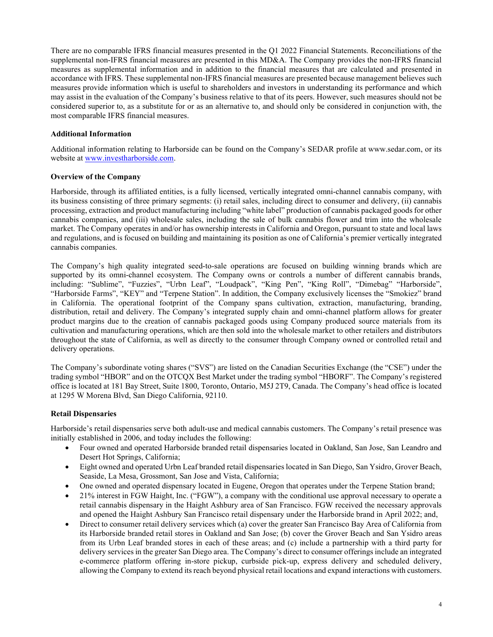There are no comparable IFRS financial measures presented in the Q1 2022 Financial Statements. Reconciliations of the supplemental non-IFRS financial measures are presented in this MD&A. The Company provides the non-IFRS financial measures as supplemental information and in addition to the financial measures that are calculated and presented in accordance with IFRS. These supplemental non-IFRS financial measures are presented because management believes such measures provide information which is useful to shareholders and investors in understanding its performance and which may assist in the evaluation of the Company's business relative to that of its peers. However, such measures should not be considered superior to, as a substitute for or as an alternative to, and should only be considered in conjunction with, the most comparable IFRS financial measures.

## Additional Information

Additional information relating to Harborside can be found on the Company's SEDAR profile at www.sedar.com, or its website at www.investharborside.com.

## Overview of the Company

Harborside, through its affiliated entities, is a fully licensed, vertically integrated omni-channel cannabis company, with its business consisting of three primary segments: (i) retail sales, including direct to consumer and delivery, (ii) cannabis processing, extraction and product manufacturing including "white label" production of cannabis packaged goods for other cannabis companies, and (iii) wholesale sales, including the sale of bulk cannabis flower and trim into the wholesale market. The Company operates in and/or has ownership interests in California and Oregon, pursuant to state and local laws and regulations, and is focused on building and maintaining its position as one of California's premier vertically integrated cannabis companies.

The Company's high quality integrated seed-to-sale operations are focused on building winning brands which are supported by its omni-channel ecosystem. The Company owns or controls a number of different cannabis brands, including: "Sublime", "Fuzzies", "Urbn Leaf", "Loudpack", "King Pen", "King Roll", "Dimebag" "Harborside", "Harborside Farms", "KEY" and "Terpene Station". In addition, the Company exclusively licenses the "Smokiez" brand in California. The operational footprint of the Company spans cultivation, extraction, manufacturing, branding, distribution, retail and delivery. The Company's integrated supply chain and omni-channel platform allows for greater product margins due to the creation of cannabis packaged goods using Company produced source materials from its cultivation and manufacturing operations, which are then sold into the wholesale market to other retailers and distributors throughout the state of California, as well as directly to the consumer through Company owned or controlled retail and delivery operations.

The Company's subordinate voting shares ("SVS") are listed on the Canadian Securities Exchange (the "CSE") under the trading symbol "HBOR" and on the OTCQX Best Market under the trading symbol "HBORF". The Company's registered office is located at 181 Bay Street, Suite 1800, Toronto, Ontario, M5J 2T9, Canada. The Company's head office is located at 1295 W Morena Blvd, San Diego California, 92110.

#### Retail Dispensaries

Harborside's retail dispensaries serve both adult-use and medical cannabis customers. The Company's retail presence was initially established in 2006, and today includes the following:

- Four owned and operated Harborside branded retail dispensaries located in Oakland, San Jose, San Leandro and Desert Hot Springs, California;
- Eight owned and operated Urbn Leaf branded retail dispensaries located in San Diego, San Ysidro, Grover Beach, Seaside, La Mesa, Grossmont, San Jose and Vista, California;
- One owned and operated dispensary located in Eugene, Oregon that operates under the Terpene Station brand;
- 21% interest in FGW Haight, Inc. ("FGW"), a company with the conditional use approval necessary to operate a retail cannabis dispensary in the Haight Ashbury area of San Francisco. FGW received the necessary approvals and opened the Haight Ashbury San Francisco retail dispensary under the Harborside brand in April 2022; and,
- Direct to consumer retail delivery services which (a) cover the greater San Francisco Bay Area of California from its Harborside branded retail stores in Oakland and San Jose; (b) cover the Grover Beach and San Ysidro areas from its Urbn Leaf branded stores in each of these areas; and (c) include a partnership with a third party for delivery services in the greater San Diego area. The Company's direct to consumer offerings include an integrated e-commerce platform offering in-store pickup, curbside pick-up, express delivery and scheduled delivery, allowing the Company to extend its reach beyond physical retail locations and expand interactions with customers.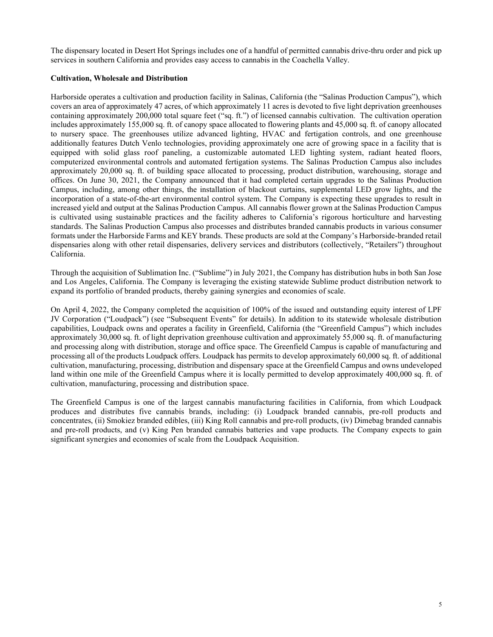The dispensary located in Desert Hot Springs includes one of a handful of permitted cannabis drive-thru order and pick up services in southern California and provides easy access to cannabis in the Coachella Valley.

## Cultivation, Wholesale and Distribution

Harborside operates a cultivation and production facility in Salinas, California (the "Salinas Production Campus"), which covers an area of approximately 47 acres, of which approximately 11 acres is devoted to five light deprivation greenhouses containing approximately 200,000 total square feet ("sq. ft.") of licensed cannabis cultivation. The cultivation operation includes approximately 155,000 sq. ft. of canopy space allocated to flowering plants and 45,000 sq. ft. of canopy allocated to nursery space. The greenhouses utilize advanced lighting, HVAC and fertigation controls, and one greenhouse additionally features Dutch Venlo technologies, providing approximately one acre of growing space in a facility that is equipped with solid glass roof paneling, a customizable automated LED lighting system, radiant heated floors, computerized environmental controls and automated fertigation systems. The Salinas Production Campus also includes approximately 20,000 sq. ft. of building space allocated to processing, product distribution, warehousing, storage and offices. On June 30, 2021, the Company announced that it had completed certain upgrades to the Salinas Production Campus, including, among other things, the installation of blackout curtains, supplemental LED grow lights, and the incorporation of a state-of-the-art environmental control system. The Company is expecting these upgrades to result in increased yield and output at the Salinas Production Campus. All cannabis flower grown at the Salinas Production Campus is cultivated using sustainable practices and the facility adheres to California's rigorous horticulture and harvesting standards. The Salinas Production Campus also processes and distributes branded cannabis products in various consumer formats under the Harborside Farms and KEY brands. These products are sold at the Company's Harborside-branded retail dispensaries along with other retail dispensaries, delivery services and distributors (collectively, "Retailers") throughout California.

Through the acquisition of Sublimation Inc. ("Sublime") in July 2021, the Company has distribution hubs in both San Jose and Los Angeles, California. The Company is leveraging the existing statewide Sublime product distribution network to expand its portfolio of branded products, thereby gaining synergies and economies of scale.

On April 4, 2022, the Company completed the acquisition of 100% of the issued and outstanding equity interest of LPF JV Corporation ("Loudpack") (see "Subsequent Events" for details). In addition to its statewide wholesale distribution capabilities, Loudpack owns and operates a facility in Greenfield, California (the "Greenfield Campus") which includes approximately 30,000 sq. ft. of light deprivation greenhouse cultivation and approximately 55,000 sq. ft. of manufacturing and processing along with distribution, storage and office space. The Greenfield Campus is capable of manufacturing and processing all of the products Loudpack offers. Loudpack has permits to develop approximately 60,000 sq. ft. of additional cultivation, manufacturing, processing, distribution and dispensary space at the Greenfield Campus and owns undeveloped land within one mile of the Greenfield Campus where it is locally permitted to develop approximately 400,000 sq. ft. of cultivation, manufacturing, processing and distribution space.

The Greenfield Campus is one of the largest cannabis manufacturing facilities in California, from which Loudpack produces and distributes five cannabis brands, including: (i) Loudpack branded cannabis, pre-roll products and concentrates, (ii) Smokiez branded edibles, (iii) King Roll cannabis and pre-roll products, (iv) Dimebag branded cannabis and pre-roll products, and (v) King Pen branded cannabis batteries and vape products. The Company expects to gain significant synergies and economies of scale from the Loudpack Acquisition.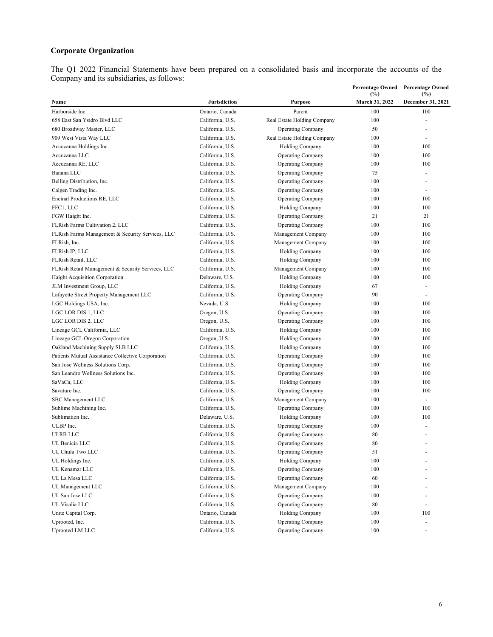# Corporate Organization

The Q1 2022 Financial Statements have been prepared on a consolidated basis and incorporate the accounts of the Company and its subsidiaries, as follows:

|                                                   |                     |                             | <b>Percentage Owned</b><br>(%) | <b>Percentage Owned</b><br>(%) |
|---------------------------------------------------|---------------------|-----------------------------|--------------------------------|--------------------------------|
| Name                                              | <b>Jurisdiction</b> | <b>Purpose</b>              | March 31, 2022                 | December 31, 2021              |
| Harborside Inc.                                   | Ontario, Canada     | Parent                      | 100                            | 100                            |
| 658 East San Ysidro Blvd LLC                      | California, U.S.    | Real Estate Holding Company | 100                            | $\overline{a}$                 |
| 680 Broadway Master, LLC                          | California, U.S.    | <b>Operating Company</b>    | 50                             |                                |
| 909 West Vista Way LLC                            | California, U.S.    | Real Estate Holding Company | 100                            |                                |
| Accucanna Holdings Inc.                           | California, U.S.    | <b>Holding Company</b>      | 100                            | 100                            |
| Accucanna LLC                                     | California, U.S.    | <b>Operating Company</b>    | 100                            | 100                            |
| Accucanna RE, LLC                                 | California, U.S.    | <b>Operating Company</b>    | 100                            | 100                            |
| Banana LLC                                        | California, U.S.    | <b>Operating Company</b>    | 75                             |                                |
| Belling Distribution, Inc.                        | California, U.S.    | <b>Operating Company</b>    | 100                            | ٠                              |
| Calgen Trading Inc.                               | California, U.S.    | <b>Operating Company</b>    | 100                            | $\overline{a}$                 |
| Encinal Productions RE, LLC                       | California, U.S.    | <b>Operating Company</b>    | 100                            | 100                            |
| FFC1, LLC                                         | California, U.S.    | <b>Holding Company</b>      | 100                            | 100                            |
| FGW Haight Inc.                                   | California, U.S.    | <b>Operating Company</b>    | 21                             | 21                             |
| FLRish Farms Cultivation 2, LLC                   | California, U.S.    | <b>Operating Company</b>    | 100                            | 100                            |
| FLRish Farms Management & Security Services, LLC  | California, U.S.    | Management Company          | 100                            | 100                            |
| FLRish, Inc.                                      | California, U.S.    | Management Company          | 100                            | 100                            |
| FLRish IP, LLC                                    | California, U.S.    | Holding Company             | 100                            | 100                            |
| FLRish Retail, LLC                                | California, U.S.    | <b>Holding Company</b>      | 100                            | 100                            |
| FLRish Retail Management & Security Services, LLC | California, U.S.    | Management Company          | 100                            | 100                            |
| Haight Acquisition Corporation                    | Delaware, U.S.      | Holding Company             | 100                            | 100                            |
| JLM Investment Group, LLC                         | California, U.S.    | <b>Holding Company</b>      | 67                             | ä,                             |
| Lafayette Street Property Management LLC          | California, U.S.    | <b>Operating Company</b>    | 90                             | $\blacksquare$                 |
| LGC Holdings USA, Inc.                            | Nevada, U.S.        | <b>Holding Company</b>      | 100                            | 100                            |
| LGC LOR DIS 1, LLC                                | Oregon, U.S.        | <b>Operating Company</b>    | 100                            | 100                            |
| LGC LOR DIS 2, LLC                                | Oregon, U.S.        | <b>Operating Company</b>    | 100                            | 100                            |
| Lineage GCL California, LLC                       | California, U.S.    | <b>Holding Company</b>      | 100                            | 100                            |
| Lineage GCL Oregon Corporation                    | Oregon, U.S.        | Holding Company             | 100                            | 100                            |
| Oakland Machining Supply SLB LLC                  | California, U.S.    | <b>Holding Company</b>      | 100                            | 100                            |
| Patients Mutual Assistance Collective Corporation | California, U.S.    | <b>Operating Company</b>    | 100                            | 100                            |
| San Jose Wellness Solutions Corp.                 | California, U.S.    | <b>Operating Company</b>    | 100                            | 100                            |
| San Leandro Wellness Solutions Inc.               | California, U.S.    | <b>Operating Company</b>    | 100                            | 100                            |
| SaVaCa, LLC                                       | California, U.S.    | Holding Company             | 100                            | 100                            |
| Savature Inc.                                     | California, U.S.    | <b>Operating Company</b>    | 100                            | 100                            |
| SBC Management LLC                                | California, U.S.    | Management Company          | 100                            |                                |
| Sublime Machining Inc.                            | California, U.S.    | <b>Operating Company</b>    | 100                            | 100                            |
| Sublimation Inc.                                  | Delaware, U.S.      | Holding Company             | 100                            | 100                            |
| ULBP Inc.                                         | California, U.S.    | <b>Operating Company</b>    | 100                            |                                |
| <b>ULRB LLC</b>                                   | California, U.S.    | <b>Operating Company</b>    | 80                             |                                |
| UL Benicia LLC                                    | California, U.S.    | <b>Operating Company</b>    | 80                             |                                |
| UL Chula Two LLC                                  | California, U.S.    | <b>Operating Company</b>    | 51                             |                                |
| UL Holdings Inc.                                  | California, U.S.    | <b>Holding Company</b>      | 100                            |                                |
| UL Kenamar LLC                                    | California, U.S.    | <b>Operating Company</b>    | 100                            |                                |
| UL La Mesa LLC                                    | California, U.S.    | <b>Operating Company</b>    | 60                             |                                |
| UL Management LLC                                 | California, U.S.    | Management Company          | 100                            |                                |
| UL San Jose LLC                                   | California, U.S.    | Operating Company           | 100                            |                                |
| UL Visalia LLC                                    | California, U.S.    | <b>Operating Company</b>    | 80                             | ÷,                             |
| Unite Capital Corp.                               | Ontario, Canada     | <b>Holding Company</b>      | 100                            | 100                            |
| Uprooted, Inc.                                    | California, U.S.    | <b>Operating Company</b>    | 100                            |                                |
| Uprooted LM LLC                                   | California, U.S.    | <b>Operating Company</b>    | 100                            | $\frac{1}{2}$                  |
|                                                   |                     |                             |                                |                                |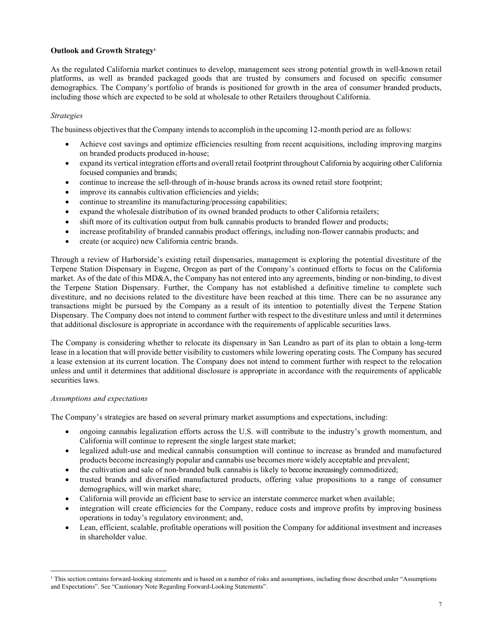## Outlook and Growth Strategy<sup>1</sup>

As the regulated California market continues to develop, management sees strong potential growth in well-known retail platforms, as well as branded packaged goods that are trusted by consumers and focused on specific consumer demographics. The Company's portfolio of brands is positioned for growth in the area of consumer branded products, including those which are expected to be sold at wholesale to other Retailers throughout California.

## Strategies

The business objectives that the Company intends to accomplish in the upcoming 12-month period are as follows:

- Achieve cost savings and optimize efficiencies resulting from recent acquisitions, including improving margins on branded products produced in-house;
- expand its vertical integration efforts and overall retail footprint throughout California by acquiring other California focused companies and brands;
- continue to increase the sell-through of in-house brands across its owned retail store footprint;
- improve its cannabis cultivation efficiencies and yields;
- continue to streamline its manufacturing/processing capabilities;
- expand the wholesale distribution of its owned branded products to other California retailers;
- shift more of its cultivation output from bulk cannabis products to branded flower and products;
- increase profitability of branded cannabis product offerings, including non-flower cannabis products; and
- create (or acquire) new California centric brands.

Through a review of Harborside's existing retail dispensaries, management is exploring the potential divestiture of the Terpene Station Dispensary in Eugene, Oregon as part of the Company's continued efforts to focus on the California market. As of the date of this MD&A, the Company has not entered into any agreements, binding or non-binding, to divest the Terpene Station Dispensary. Further, the Company has not established a definitive timeline to complete such divestiture, and no decisions related to the divestiture have been reached at this time. There can be no assurance any transactions might be pursued by the Company as a result of its intention to potentially divest the Terpene Station Dispensary. The Company does not intend to comment further with respect to the divestiture unless and until it determines that additional disclosure is appropriate in accordance with the requirements of applicable securities laws.

The Company is considering whether to relocate its dispensary in San Leandro as part of its plan to obtain a long-term lease in a location that will provide better visibility to customers while lowering operating costs. The Company has secured a lease extension at its current location. The Company does not intend to comment further with respect to the relocation unless and until it determines that additional disclosure is appropriate in accordance with the requirements of applicable securities laws.

#### Assumptions and expectations

The Company's strategies are based on several primary market assumptions and expectations, including:

- ongoing cannabis legalization efforts across the U.S. will contribute to the industry's growth momentum, and California will continue to represent the single largest state market;
- legalized adult-use and medical cannabis consumption will continue to increase as branded and manufactured products become increasingly popular and cannabis use becomes more widely acceptable and prevalent;
- the cultivation and sale of non-branded bulk cannabis is likely to become increasingly commoditized;
- trusted brands and diversified manufactured products, offering value propositions to a range of consumer demographics, will win market share;
- California will provide an efficient base to service an interstate commerce market when available;
- integration will create efficiencies for the Company, reduce costs and improve profits by improving business operations in today's regulatory environment; and,
- Lean, efficient, scalable, profitable operations will position the Company for additional investment and increases in shareholder value.

<sup>1</sup> This section contains forward-looking statements and is based on a number of risks and assumptions, including those described under "Assumptions and Expectations". See "Cautionary Note Regarding Forward-Looking Statements".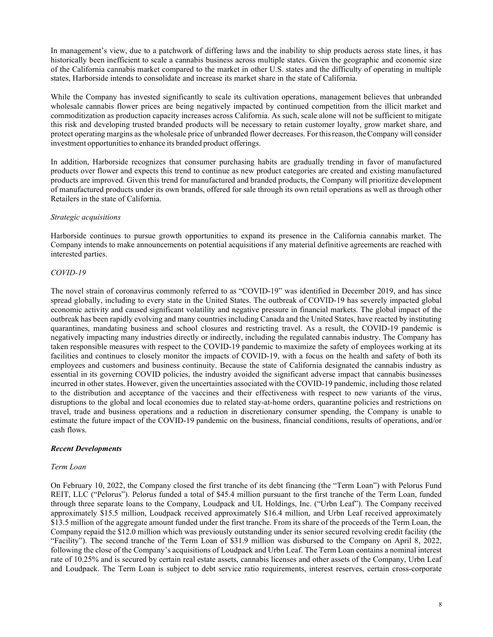In management's view, due to a patchwork of differing laws and the inability to ship products across state lines, it has historically been inefficient to scale a cannabis business across multiple states. Given the geographic and economic size of the California cannabis market compared to the market in other U.S. states and the difficulty of operating in multiple states, Harborside intends to consolidate and increase its market share in the state of California.

While the Company has invested significantly to scale its cultivation operations, management believes that unbranded wholesale cannabis flower prices are being negatively impacted by continued competition from the illicit market and commoditization as production capacity increases across California. As such, scale alone will not be sufficient to mitigate this risk and developing trusted branded products will be necessary to retain customer loyalty, grow market share, and protect operating margins as the wholesale price of unbranded flower decreases. For this reason, the Company will consider investment opportunities to enhance its branded product offerings.

In addition, Harborside recognizes that consumer purchasing habits are gradually trending in favor of manufactured products over flower and expects this trend to continue as new product categories are created and existing manufactured products are improved. Given this trend for manufactured and branded products, the Company will prioritize development of manufactured products under its own brands, offered for sale through its own retail operations as well as through other Retailers in the state of California.

#### Strategic acquisitions

Harborside continues to pursue growth opportunities to expand its presence in the California cannabis market. The Company intends to make announcements on potential acquisitions if any material definitive agreements are reached with interested parties.

## COVID-19

The novel strain of coronavirus commonly referred to as "COVID-19" was identified in December 2019, and has since spread globally, including to every state in the United States. The outbreak of COVID-19 has severely impacted global economic activity and caused significant volatility and negative pressure in financial markets. The global impact of the outbreak has been rapidly evolving and many countries including Canada and the United States, have reacted by instituting quarantines, mandating business and school closures and restricting travel. As a result, the COVID-19 pandemic is negatively impacting many industries directly or indirectly, including the regulated cannabis industry. The Company has taken responsible measures with respect to the COVID-19 pandemic to maximize the safety of employees working at its facilities and continues to closely monitor the impacts of COVID-19, with a focus on the health and safety of both its employees and customers and business continuity. Because the state of California designated the cannabis industry as essential in its governing COVID policies, the industry avoided the significant adverse impact that cannabis businesses incurred in other states. However, given the uncertainties associated with the COVID-19 pandemic, including those related to the distribution and acceptance of the vaccines and their effectiveness with respect to new variants of the virus, disruptions to the global and local economies due to related stay-at-home orders, quarantine policies and restrictions on travel, trade and business operations and a reduction in discretionary consumer spending, the Company is unable to estimate the future impact of the COVID-19 pandemic on the business, financial conditions, results of operations, and/or cash flows.

## Recent Developments

#### Term Loan

On February 10, 2022, the Company closed the first tranche of its debt financing (the "Term Loan") with Pelorus Fund REIT, LLC ("Pelorus"). Pelorus funded a total of \$45.4 million pursuant to the first tranche of the Term Loan, funded through three separate loans to the Company, Loudpack and UL Holdings, Inc. ("Urbn Leaf"). The Company received approximately \$15.5 million, Loudpack received approximately \$16.4 million, and Urbn Leaf received approximately \$13.5 million of the aggregate amount funded under the first tranche. From its share of the proceeds of the Term Loan, the Company repaid the \$12.0 million which was previously outstanding under its senior secured revolving credit facility (the "Facility"). The second tranche of the Term Loan of \$31.9 million was disbursed to the Company on April 8, 2022, following the close of the Company's acquisitions of Loudpack and Urbn Leaf. The Term Loan contains a nominal interest rate of 10.25% and is secured by certain real estate assets, cannabis licenses and other assets of the Company, Urbn Leaf and Loudpack. The Term Loan is subject to debt service ratio requirements, interest reserves, certain cross-corporate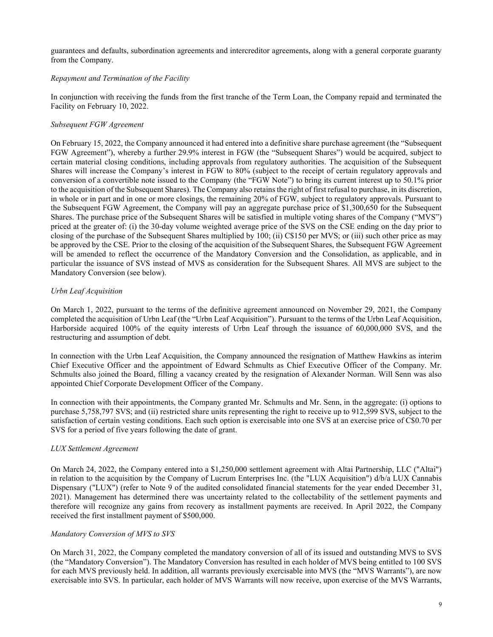guarantees and defaults, subordination agreements and intercreditor agreements, along with a general corporate guaranty from the Company.

## Repayment and Termination of the Facility

In conjunction with receiving the funds from the first tranche of the Term Loan, the Company repaid and terminated the Facility on February 10, 2022.

## Subsequent FGW Agreement

On February 15, 2022, the Company announced it had entered into a definitive share purchase agreement (the "Subsequent FGW Agreement"), whereby a further 29.9% interest in FGW (the "Subsequent Shares") would be acquired, subject to certain material closing conditions, including approvals from regulatory authorities. The acquisition of the Subsequent Shares will increase the Company's interest in FGW to 80% (subject to the receipt of certain regulatory approvals and conversion of a convertible note issued to the Company (the "FGW Note") to bring its current interest up to 50.1% prior to the acquisition of the Subsequent Shares). The Company also retains the right of first refusal to purchase, in its discretion, in whole or in part and in one or more closings, the remaining 20% of FGW, subject to regulatory approvals. Pursuant to the Subsequent FGW Agreement, the Company will pay an aggregate purchase price of \$1,300,650 for the Subsequent Shares. The purchase price of the Subsequent Shares will be satisfied in multiple voting shares of the Company ("MVS") priced at the greater of: (i) the 30-day volume weighted average price of the SVS on the CSE ending on the day prior to closing of the purchase of the Subsequent Shares multiplied by 100; (ii) C\$150 per MVS; or (iii) such other price as may be approved by the CSE. Prior to the closing of the acquisition of the Subsequent Shares, the Subsequent FGW Agreement will be amended to reflect the occurrence of the Mandatory Conversion and the Consolidation, as applicable, and in particular the issuance of SVS instead of MVS as consideration for the Subsequent Shares. All MVS are subject to the Mandatory Conversion (see below).

## Urbn Leaf Acquisition

On March 1, 2022, pursuant to the terms of the definitive agreement announced on November 29, 2021, the Company completed the acquisition of Urbn Leaf (the "Urbn Leaf Acquisition"). Pursuant to the terms of the Urbn Leaf Acquisition, Harborside acquired 100% of the equity interests of Urbn Leaf through the issuance of 60,000,000 SVS, and the restructuring and assumption of debt.

In connection with the Urbn Leaf Acquisition, the Company announced the resignation of Matthew Hawkins as interim Chief Executive Officer and the appointment of Edward Schmults as Chief Executive Officer of the Company. Mr. Schmults also joined the Board, filling a vacancy created by the resignation of Alexander Norman. Will Senn was also appointed Chief Corporate Development Officer of the Company.

In connection with their appointments, the Company granted Mr. Schmults and Mr. Senn, in the aggregate: (i) options to purchase 5,758,797 SVS; and (ii) restricted share units representing the right to receive up to 912,599 SVS, subject to the satisfaction of certain vesting conditions. Each such option is exercisable into one SVS at an exercise price of C\$0.70 per SVS for a period of five years following the date of grant.

## LUX Settlement Agreement

On March 24, 2022, the Company entered into a \$1,250,000 settlement agreement with Altai Partnership, LLC ("Altai") in relation to the acquisition by the Company of Lucrum Enterprises Inc. (the "LUX Acquisition") d/b/a LUX Cannabis Dispensary ("LUX") (refer to Note 9 of the audited consolidated financial statements for the year ended December 31, 2021). Management has determined there was uncertainty related to the collectability of the settlement payments and therefore will recognize any gains from recovery as installment payments are received. In April 2022, the Company received the first installment payment of \$500,000.

#### Mandatory Conversion of MVS to SVS

On March 31, 2022, the Company completed the mandatory conversion of all of its issued and outstanding MVS to SVS (the "Mandatory Conversion"). The Mandatory Conversion has resulted in each holder of MVS being entitled to 100 SVS for each MVS previously held. In addition, all warrants previously exercisable into MVS (the "MVS Warrants"), are now exercisable into SVS. In particular, each holder of MVS Warrants will now receive, upon exercise of the MVS Warrants,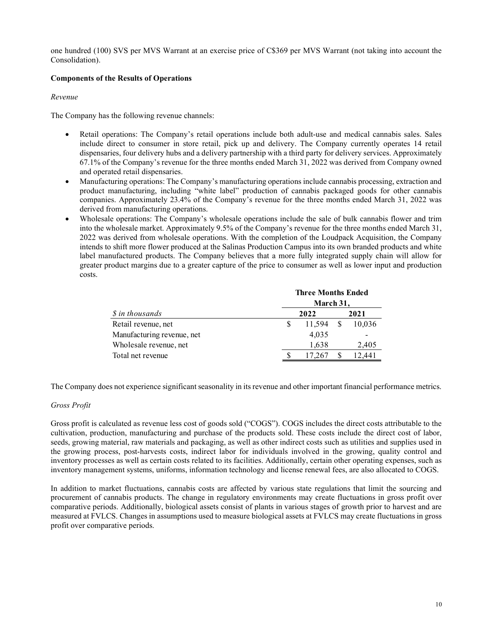one hundred (100) SVS per MVS Warrant at an exercise price of C\$369 per MVS Warrant (not taking into account the Consolidation).

## Components of the Results of Operations

## Revenue

The Company has the following revenue channels:

- Retail operations: The Company's retail operations include both adult-use and medical cannabis sales. Sales include direct to consumer in store retail, pick up and delivery. The Company currently operates 14 retail dispensaries, four delivery hubs and a delivery partnership with a third party for delivery services. Approximately 67.1% of the Company's revenue for the three months ended March 31, 2022 was derived from Company owned and operated retail dispensaries.
- Manufacturing operations: The Company's manufacturing operations include cannabis processing, extraction and product manufacturing, including "white label" production of cannabis packaged goods for other cannabis companies. Approximately 23.4% of the Company's revenue for the three months ended March 31, 2022 was derived from manufacturing operations.
- Wholesale operations: The Company's wholesale operations include the sale of bulk cannabis flower and trim into the wholesale market. Approximately 9.5% of the Company's revenue for the three months ended March 31, 2022 was derived from wholesale operations. With the completion of the Loudpack Acquisition, the Company intends to shift more flower produced at the Salinas Production Campus into its own branded products and white label manufactured products. The Company believes that a more fully integrated supply chain will allow for greater product margins due to a greater capture of the price to consumer as well as lower input and production costs. the following revenue channels:<br>
trations: The Company's retail operations include both stdul-use and medical cumanbis sales. Sales<br>
retained to consumer in store retail, pick up and delivery. The Company currently operat

|                            |              | <b>Three Months Ended</b> |        |
|----------------------------|--------------|---------------------------|--------|
|                            |              | March 31,                 |        |
| <i>S</i> in thousands      |              | 2022                      | 2021   |
| Retail revenue, net        | <sup>S</sup> | 11.594                    | 10.036 |
| Manufacturing revenue, net |              | 4,035                     |        |
| Wholesale revenue, net     |              | 1.638                     | 2,405  |
| Total net revenue          |              | 17.267                    | 12.441 |

The Company does not experience significant seasonality in its revenue and other important financial performance metrics.

## Gross Profit

Gross profit is calculated as revenue less cost of goods sold ("COGS"). COGS includes the direct costs attributable to the cultivation, production, manufacturing and purchase of the products sold. These costs include the direct cost of labor, seeds, growing material, raw materials and packaging, as well as other indirect costs such as utilities and supplies used in the growing process, post-harvests costs, indirect labor for individuals involved in the growing, quality control and inventory processes as well as certain costs related to its facilities. Additionally, certain other operating expenses, such as inventory management systems, uniforms, information technology and license renewal fees, are also allocated to COGS.

In addition to market fluctuations, cannabis costs are affected by various state regulations that limit the sourcing and procurement of cannabis products. The change in regulatory environments may create fluctuations in gross profit over comparative periods. Additionally, biological assets consist of plants in various stages of growth prior to harvest and are measured at FVLCS. Changes in assumptions used to measure biological assets at FVLCS may create fluctuations in gross profit over comparative periods.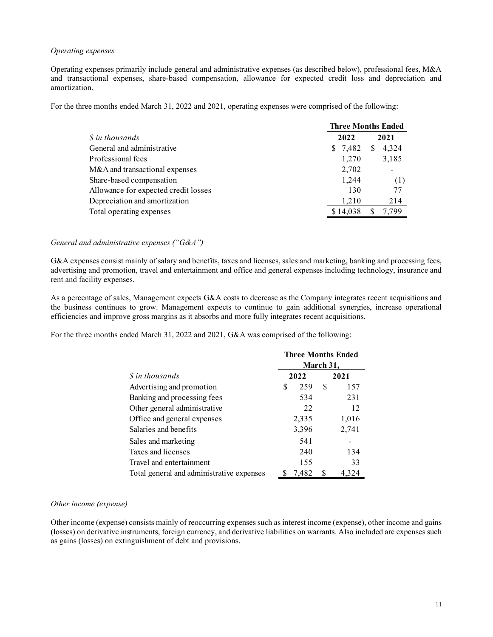## Operating expenses

Operating expenses primarily include general and administrative expenses (as described below), professional fees, M&A and transactional expenses, share-based compensation, allowance for expected credit loss and depreciation and amortization.

For the three months ended March 31, 2022 and 2021, operating expenses were comprised of the following:

| xpenses                                                                                                                                                                                                                 |                           |  |
|-------------------------------------------------------------------------------------------------------------------------------------------------------------------------------------------------------------------------|---------------------------|--|
|                                                                                                                                                                                                                         |                           |  |
| xpenses primarily include general and administrative expenses (as described below), professional fees, M&A<br>ctional expenses, share-based compensation, allowance for expected credit loss and depreciation and<br>n. |                           |  |
|                                                                                                                                                                                                                         |                           |  |
| e months ended March 31, 2022 and 2021, operating expenses were comprised of the following:                                                                                                                             |                           |  |
|                                                                                                                                                                                                                         | <b>Three Months Ended</b> |  |
| \$ in thousands                                                                                                                                                                                                         | 2022<br>2021              |  |
| General and administrative                                                                                                                                                                                              | \$7,482<br>\$4,324        |  |
| Professional fees                                                                                                                                                                                                       | 1,270<br>3,185            |  |
| M&A and transactional expenses                                                                                                                                                                                          | 2,702                     |  |
| Share-based compensation                                                                                                                                                                                                | 1,244<br>(1)              |  |
| Allowance for expected credit losses                                                                                                                                                                                    | 77<br>130                 |  |
| Depreciation and amortization                                                                                                                                                                                           | 1,210<br>214              |  |
| Total operating expenses                                                                                                                                                                                                | \$14,038<br>7,799<br>S    |  |

#### General and administrative expenses ("G&A")

G&A expenses consist mainly of salary and benefits, taxes and licenses, sales and marketing, banking and processing fees, advertising and promotion, travel and entertainment and office and general expenses including technology, insurance and rent and facility expenses.

As a percentage of sales, Management expects G&A costs to decrease as the Company integrates recent acquisitions and the business continues to grow. Management expects to continue to gain additional synergies, increase operational efficiencies and improve gross margins as it absorbs and more fully integrates recent acquisitions.

For the three months ended March 31, 2022 and 2021, G&A was comprised of the following:

| ansactional expenses                                                                                                                                                                                                                                                                                                                            |          |           | 2,702                     |                       |
|-------------------------------------------------------------------------------------------------------------------------------------------------------------------------------------------------------------------------------------------------------------------------------------------------------------------------------------------------|----------|-----------|---------------------------|-----------------------|
| d compensation                                                                                                                                                                                                                                                                                                                                  |          |           | 1,244                     | (1)                   |
| for expected credit losses                                                                                                                                                                                                                                                                                                                      |          |           | 130                       | 77                    |
| n and amortization                                                                                                                                                                                                                                                                                                                              |          |           | 1,210                     | 214                   |
| ting expenses                                                                                                                                                                                                                                                                                                                                   |          |           | \$14,038                  | 7,799<br><sup>S</sup> |
| tive expenses (" $G&A"$ )                                                                                                                                                                                                                                                                                                                       |          |           |                           |                       |
| mainly of salary and benefits, taxes and licenses, sales and marketing, banking and processing fees,<br>on, travel and entertainment and office and general expenses including technology, insurance and<br>es.                                                                                                                                 |          |           |                           |                       |
| s, Management expects G&A costs to decrease as the Company integrates recent acquisitions and<br>to grow. Management expects to continue to gain additional synergies, increase operational<br>e gross margins as it absorbs and more fully integrates recent acquisitions.<br>ded March 31, 2022 and 2021, G&A was comprised of the following: |          |           |                           |                       |
|                                                                                                                                                                                                                                                                                                                                                 |          |           | <b>Three Months Ended</b> |                       |
|                                                                                                                                                                                                                                                                                                                                                 |          | March 31, |                           |                       |
| \$ in thousands                                                                                                                                                                                                                                                                                                                                 | 2022     |           | 2021                      |                       |
| Advertising and promotion                                                                                                                                                                                                                                                                                                                       | 259<br>S | S         | 157                       |                       |
| Banking and processing fees                                                                                                                                                                                                                                                                                                                     | 534      |           | 231                       |                       |
| Other general administrative                                                                                                                                                                                                                                                                                                                    |          | 22        | 12                        |                       |
| Office and general expenses                                                                                                                                                                                                                                                                                                                     | 2,335    |           | 1,016                     |                       |
| Salaries and benefits                                                                                                                                                                                                                                                                                                                           | 3,396    |           | 2,741                     |                       |
| Sales and marketing                                                                                                                                                                                                                                                                                                                             | 541      |           | -                         |                       |
| Taxes and licenses                                                                                                                                                                                                                                                                                                                              | 240      |           | 134                       |                       |
| Travel and entertainment                                                                                                                                                                                                                                                                                                                        | 155      |           | 33                        |                       |
| Total general and administrative expenses                                                                                                                                                                                                                                                                                                       | \$7,482  | \$        | 4,324                     |                       |

#### Other income (expense)

Other income (expense) consists mainly of reoccurring expenses such as interest income (expense), other income and gains (losses) on derivative instruments, foreign currency, and derivative liabilities on warrants. Also included are expenses such as gains (losses) on extinguishment of debt and provisions.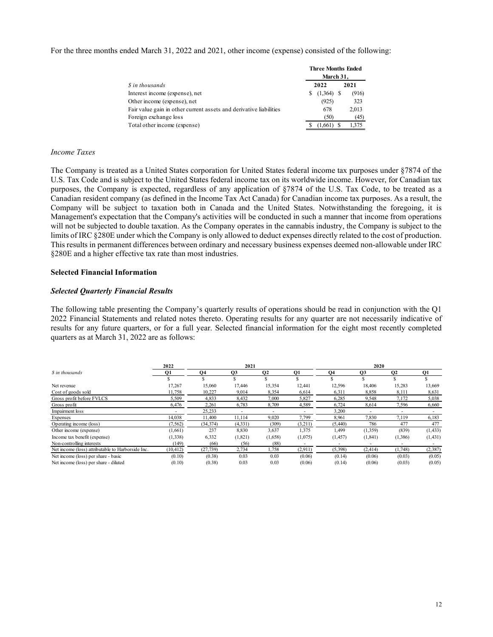For the three months ended March 31, 2022 and 2021, other income (expense) consisted of the following:

|                                                                                                                                                                     | <b>Three Months Ended</b> |  |
|---------------------------------------------------------------------------------------------------------------------------------------------------------------------|---------------------------|--|
|                                                                                                                                                                     | March 31,<br>2022<br>2021 |  |
|                                                                                                                                                                     | $(1,364)$ \$<br>(916)     |  |
| ded March 31, 2022 and 2021, other income (expense) consisted of the following:<br>\$ in thousands<br>Interest income (expense), net<br>Other income (expense), net | (925)<br>323              |  |
| Fair value gain in other current assets and derivative liabilities                                                                                                  | 678<br>2,013              |  |
| Foreign exchange loss<br>Total other income (expense)                                                                                                               | (50)<br>(45)<br>1,375     |  |

#### Income Taxes

The Company is treated as a United States corporation for United States federal income tax purposes under §7874 of the U.S. Tax Code and is subject to the United States federal income tax on its worldwide income. However, for Canadian tax purposes, the Company is expected, regardless of any application of §7874 of the U.S. Tax Code, to be treated as a Canadian resident company (as defined in the Income Tax Act Canada) for Canadian income tax purposes. As a result, the Company will be subject to taxation both in Canada and the United States. Notwithstanding the foregoing, it is Management's expectation that the Company's activities will be conducted in such a manner that income from operations will not be subjected to double taxation. As the Company operates in the cannabis industry, the Company is subject to the limits of IRC §280E under which the Company is only allowed to deduct expenses directly related to the cost of production. This results in permanent differences between ordinary and necessary business expenses deemed non-allowable under IRC §280E and a higher effective tax rate than most industries. The Company is treated as a United States corporation for United States federal income tax purposes under 87874 of the U.S. Tax Code and is subject to the United States federal income to on its wordevide income. However, States corporation for United States Iederal income tax purposes under  $8 \times 8 \times 64$  of the<br>
Sinted States federal income tax on its worldwide income. However, for Canadian tax<br>
I, regardless of any application of  $\frac{5787$ d States corporation for United States federal income tax purposes under §7874 of the<br>
United States federal income tax on its worldwide income. However, for Canadian tax<br>
d, regardless of any application of §7874 of the

#### Selected Financial Information

### Selected Quarterly Financial Results

|                                                                                                                                                                                                                                                    |                          |                        |                          |                |                          | Canadian resident company (as defined in the Income Tax Act Canada) for Canadian income tax purposes. As a result, the | purposes, the Company is expected, regardless of any application of $\frac{1}{2}$ /8/4 of the U.S. Tax Code, to be treated as a |                          |                  |
|----------------------------------------------------------------------------------------------------------------------------------------------------------------------------------------------------------------------------------------------------|--------------------------|------------------------|--------------------------|----------------|--------------------------|------------------------------------------------------------------------------------------------------------------------|---------------------------------------------------------------------------------------------------------------------------------|--------------------------|------------------|
|                                                                                                                                                                                                                                                    |                          |                        |                          |                |                          |                                                                                                                        |                                                                                                                                 |                          |                  |
| Company will be subject to taxation both in Canada and the United States. Notwithstanding the foregoing, it is                                                                                                                                     |                          |                        |                          |                |                          |                                                                                                                        |                                                                                                                                 |                          |                  |
| Management's expectation that the Company's activities will be conducted in such a manner that income from operations                                                                                                                              |                          |                        |                          |                |                          |                                                                                                                        |                                                                                                                                 |                          |                  |
| will not be subjected to double taxation. As the Company operates in the cannabis industry, the Company is subject to the                                                                                                                          |                          |                        |                          |                |                          |                                                                                                                        |                                                                                                                                 |                          |                  |
| limits of IRC §280E under which the Company is only allowed to deduct expenses directly related to the cost of production.                                                                                                                         |                          |                        |                          |                |                          |                                                                                                                        |                                                                                                                                 |                          |                  |
|                                                                                                                                                                                                                                                    |                          |                        |                          |                |                          |                                                                                                                        |                                                                                                                                 |                          |                  |
| This results in permanent differences between ordinary and necessary business expenses deemed non-allowable under IRC                                                                                                                              |                          |                        |                          |                |                          |                                                                                                                        |                                                                                                                                 |                          |                  |
| §280E and a higher effective tax rate than most industries.                                                                                                                                                                                        |                          |                        |                          |                |                          |                                                                                                                        |                                                                                                                                 |                          |                  |
| <b>Selected Financial Information</b>                                                                                                                                                                                                              |                          |                        |                          |                |                          |                                                                                                                        |                                                                                                                                 |                          |                  |
| <b>Selected Quarterly Financial Results</b>                                                                                                                                                                                                        |                          |                        |                          |                |                          |                                                                                                                        |                                                                                                                                 |                          |                  |
|                                                                                                                                                                                                                                                    |                          |                        |                          |                |                          |                                                                                                                        |                                                                                                                                 |                          |                  |
| The following table presenting the Company's quarterly results of operations should be read in conjunction with the Q1                                                                                                                             |                          |                        |                          |                |                          |                                                                                                                        |                                                                                                                                 |                          |                  |
| 2022 Financial Statements and related notes thereto. Operating results for any quarter are not necessarily indicative of                                                                                                                           |                          |                        |                          |                |                          |                                                                                                                        |                                                                                                                                 |                          |                  |
| results for any future quarters, or for a full year. Selected financial information for the eight most recently completed                                                                                                                          |                          |                        |                          |                |                          |                                                                                                                        |                                                                                                                                 |                          |                  |
| quarters as at March 31, 2022 are as follows:                                                                                                                                                                                                      |                          |                        |                          |                |                          |                                                                                                                        |                                                                                                                                 |                          |                  |
|                                                                                                                                                                                                                                                    |                          |                        |                          |                |                          |                                                                                                                        |                                                                                                                                 |                          |                  |
|                                                                                                                                                                                                                                                    |                          |                        |                          |                |                          |                                                                                                                        |                                                                                                                                 |                          |                  |
|                                                                                                                                                                                                                                                    |                          |                        |                          |                |                          |                                                                                                                        |                                                                                                                                 |                          |                  |
|                                                                                                                                                                                                                                                    |                          |                        |                          |                |                          |                                                                                                                        |                                                                                                                                 |                          |                  |
|                                                                                                                                                                                                                                                    | 2022                     |                        | 2021                     |                |                          |                                                                                                                        | 2020                                                                                                                            |                          |                  |
|                                                                                                                                                                                                                                                    | Q1                       | Q <sub>4</sub>         | Q <sub>3</sub>           | Q <sub>2</sub> | <b>O1</b>                | Q <sub>4</sub>                                                                                                         | Q <sub>3</sub>                                                                                                                  | Q <sub>2</sub>           | Q1               |
|                                                                                                                                                                                                                                                    | S.<br>17,267             | $\mathbf{s}$<br>15,060 | S.                       | S.<br>15,354   | S.                       | S.                                                                                                                     | S.<br>18,406                                                                                                                    | S                        | \$.<br>13,669    |
|                                                                                                                                                                                                                                                    | 11,758                   | 10,227                 | 17,446<br>9,014          | 8,354          | 12,441<br>6,614          | 12,596<br>6,311                                                                                                        | 8,858                                                                                                                           | 15,283<br>8,111          | 8,631            |
|                                                                                                                                                                                                                                                    | 5,509                    | 4,833                  | 8,432                    | 7,000          | 5,827                    | 6,285                                                                                                                  | 9,548                                                                                                                           | 7,172                    | 5,038            |
|                                                                                                                                                                                                                                                    | 6,476                    | 2,261                  | 6,783                    | 8,709          | 4,589                    | 6,724                                                                                                                  | 8,614                                                                                                                           | 7,596                    | 6,660            |
|                                                                                                                                                                                                                                                    | $\overline{\phantom{a}}$ | 25,233                 | $\overline{\phantom{a}}$ | $\sim$         | $\overline{\phantom{a}}$ | 3,200                                                                                                                  | $\sim$                                                                                                                          | $\overline{\phantom{a}}$ | $\sim$           |
|                                                                                                                                                                                                                                                    | 14,038                   | 11,400                 | 11,114                   | 9,020          | 7,799                    | 8,961                                                                                                                  | 7,830                                                                                                                           | 7,119                    | 6,183            |
|                                                                                                                                                                                                                                                    | (7, 562)                 | (34, 374)              | (4,331)                  | (309)          | (3,211)                  | (5,440)                                                                                                                | 786                                                                                                                             | 477                      | 477              |
|                                                                                                                                                                                                                                                    | (1,661)                  | 237                    | 8,830                    | 3,637          | 1,375                    | 1,499                                                                                                                  | (1,359)                                                                                                                         | (839)                    | (1, 433)         |
|                                                                                                                                                                                                                                                    | (1, 338)                 | 6,332                  | (1,821)                  | (1,658)        | (1,075)                  | (1, 457)                                                                                                               | (1, 841)                                                                                                                        | (1,386)                  | (1, 431)         |
| \$ in thousands<br>Net revenue<br>Cost of goods sold<br>Gross profit before FVLCS<br>Gross profit<br>Impairment loss<br>Expenses<br>Operating income (loss)<br>Other income (expense)<br>Income tax benefit (expense)<br>Non-controlling interests | (149)                    | (66)                   | (56)                     | (88)           |                          |                                                                                                                        |                                                                                                                                 |                          | $\sim$           |
| Net income (loss) attributable to Harborside Inc.                                                                                                                                                                                                  | (10, 412)                | (27, 739)              | 2,734                    | 1,758          | (2,911)                  | (5,398)                                                                                                                | (2, 414)                                                                                                                        | (1,748)                  | (2, 387)         |
| Net income (loss) per share - basic<br>Net income (loss) per share - diluted                                                                                                                                                                       | (0.10)<br>(0.10)         | (0.38)<br>(0.38)       | 0.03<br>0.03             | 0.03<br>0.03   | (0.06)<br>(0.06)         | (0.14)<br>(0.14)                                                                                                       | (0.06)<br>(0.06)                                                                                                                | (0.03)<br>(0.03)         | (0.05)<br>(0.05) |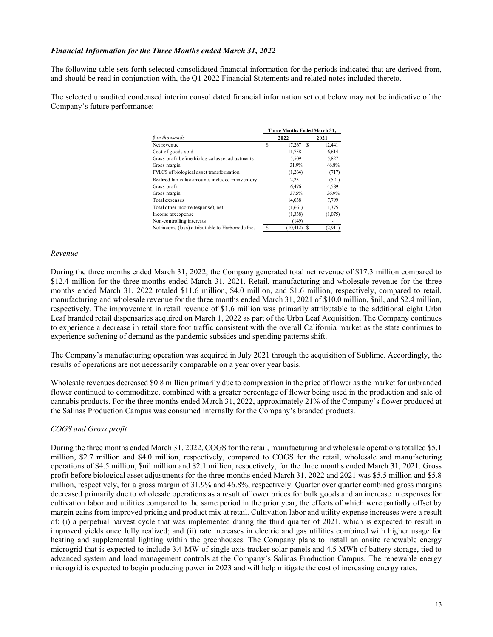## Financial Information for the Three Months ended March 31, 2022

The following table sets forth selected consolidated financial information for the periods indicated that are derived from, and should be read in conjunction with, the Q1 2022 Financial Statements and related notes included thereto.

The selected unaudited condensed interim consolidated financial information set out below may not be indicative of the Company's future performance:

| Three Months ended March 31, 2022                                                            |                                          |                   |  |
|----------------------------------------------------------------------------------------------|------------------------------------------|-------------------|--|
|                                                                                              |                                          |                   |  |
| selected consolidated financial information for the periods indicated that are derived from, |                                          |                   |  |
| ion with, the Q1 2022 Financial Statements and related notes included thereto.               |                                          |                   |  |
|                                                                                              |                                          |                   |  |
| ised interim consolidated financial information set out below may not be indicative of the   |                                          |                   |  |
| $\ddot{\phantom{0}}$                                                                         |                                          |                   |  |
|                                                                                              |                                          |                   |  |
|                                                                                              |                                          |                   |  |
|                                                                                              | Three Months Ended March 31,             |                   |  |
| \$ in thousands                                                                              | 2022                                     | 2021              |  |
| Net revenue                                                                                  | $\mathbb S$<br>17,267 \$                 | 12,441            |  |
| Cost of goods sold                                                                           | 11,758                                   | 6,614             |  |
| Gross profit before biological asset adjustments                                             | 5,509                                    | 5,827             |  |
| Gross margin                                                                                 | 31.9%                                    | 46.8%             |  |
| FVLCS of biological asset transformation                                                     | (1,264)                                  | (717)             |  |
| Realized fair value amounts included in inventory                                            | 2,231                                    | (521)             |  |
| Gross profit                                                                                 | 6,476                                    | 4,589             |  |
| Gross margin                                                                                 | 37.5%                                    | 36.9%             |  |
| Total expenses                                                                               | 14,038                                   | 7,799             |  |
| Total other income (expense), net                                                            | (1,661)                                  | 1,375             |  |
| Income tax expense                                                                           | (1, 338)                                 | (1,075)           |  |
| Non-controlling interests<br>Net income (loss) attributable to Harborside Inc.               | (149)<br><sup>\$</sup><br>$(10, 412)$ \$ | $\sim$<br>(2,911) |  |

#### Revenue

During the three months ended March 31, 2022, the Company generated total net revenue of \$17.3 million compared to \$12.4 million for the three months ended March 31, 2021. Retail, manufacturing and wholesale revenue for the three months ended March 31, 2022 totaled \$11.6 million, \$4.0 million, and \$1.6 million, respectively, compared to retail, manufacturing and wholesale revenue for the three months ended March 31, 2021 of \$10.0 million, \$nil, and \$2.4 million, respectively. The improvement in retail revenue of \$1.6 million was primarily attributable to the additional eight Urbn Leaf branded retail dispensaries acquired on March 1, 2022 as part of the Urbn Leaf Acquisition. The Company continues to experience a decrease in retail store foot traffic consistent with the overall California market as the state continues to experience softening of demand as the pandemic subsides and spending patterns shift.

The Company's manufacturing operation was acquired in July 2021 through the acquisition of Sublime. Accordingly, the results of operations are not necessarily comparable on a year over year basis.

Wholesale revenues decreased \$0.8 million primarily due to compression in the price of flower as the market for unbranded flower continued to commoditize, combined with a greater percentage of flower being used in the production and sale of cannabis products. For the three months ended March 31, 2022, approximately 21% of the Company's flower produced at the Salinas Production Campus was consumed internally for the Company's branded products.

## COGS and Gross profit

During the three months ended March 31, 2022, COGS for the retail, manufacturing and wholesale operations totalled \$5.1 million, \$2.7 million and \$4.0 million, respectively, compared to COGS for the retail, wholesale and manufacturing operations of \$4.5 million, \$nil million and \$2.1 million, respectively, for the three months ended March 31, 2021. Gross profit before biological asset adjustments for the three months ended March 31, 2022 and 2021 was \$5.5 million and \$5.8 million, respectively, for a gross margin of 31.9% and 46.8%, respectively. Quarter over quarter combined gross margins decreased primarily due to wholesale operations as a result of lower prices for bulk goods and an increase in expenses for cultivation labor and utilities compared to the same period in the prior year, the effects of which were partially offset by margin gains from improved pricing and product mix at retail. Cultivation labor and utility expense increases were a result of: (i) a perpetual harvest cycle that was implemented during the third quarter of 2021, which is expected to result in improved yields once fully realized; and (ii) rate increases in electric and gas utilities combined with higher usage for heating and supplemental lighting within the greenhouses. The Company plans to install an onsite renewable energy microgrid that is expected to include 3.4 MW of single axis tracker solar panels and 4.5 MWh of battery storage, tied to advanced system and load management controls at the Company's Salinas Production Campus. The renewable energy microgrid is expected to begin producing power in 2023 and will help mitigate the cost of increasing energy rates.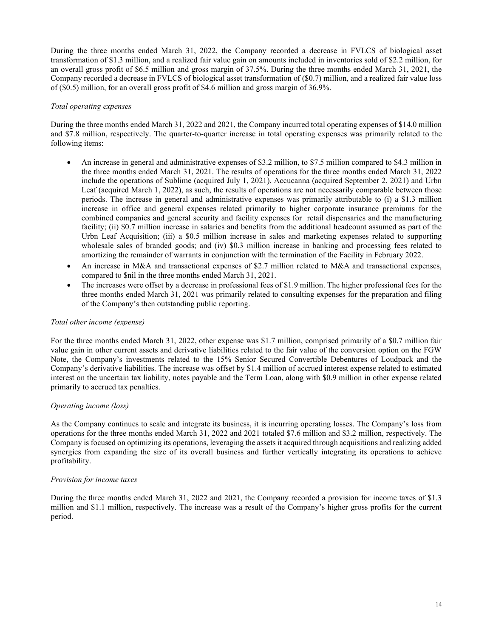During the three months ended March 31, 2022, the Company recorded a decrease in FVLCS of biological asset transformation of \$1.3 million, and a realized fair value gain on amounts included in inventories sold of \$2.2 million, for an overall gross profit of \$6.5 million and gross margin of 37.5%. During the three months ended March 31, 2021, the Company recorded a decrease in FVLCS of biological asset transformation of (\$0.7) million, and a realized fair value loss of (\$0.5) million, for an overall gross profit of \$4.6 million and gross margin of 36.9%.

## Total operating expenses

During the three months ended March 31, 2022 and 2021, the Company incurred total operating expenses of \$14.0 million and \$7.8 million, respectively. The quarter-to-quarter increase in total operating expenses was primarily related to the following items:

- An increase in general and administrative expenses of \$3.2 million, to \$7.5 million compared to \$4.3 million in the three months ended March 31, 2021. The results of operations for the three months ended March 31, 2022 include the operations of Sublime (acquired July 1, 2021), Accucanna (acquired September 2, 2021) and Urbn Leaf (acquired March 1, 2022), as such, the results of operations are not necessarily comparable between those periods. The increase in general and administrative expenses was primarily attributable to (i) a \$1.3 million increase in office and general expenses related primarily to higher corporate insurance premiums for the combined companies and general security and facility expenses for retail dispensaries and the manufacturing facility; (ii) \$0.7 million increase in salaries and benefits from the additional headcount assumed as part of the Urbn Leaf Acquisition; (iii) a \$0.5 million increase in sales and marketing expenses related to supporting wholesale sales of branded goods; and (iv) \$0.3 million increase in banking and processing fees related to amortizing the remainder of warrants in conjunction with the termination of the Facility in February 2022.
- An increase in M&A and transactional expenses of \$2.7 million related to M&A and transactional expenses, compared to \$nil in the three months ended March 31, 2021.
- The increases were offset by a decrease in professional fees of \$1.9 million. The higher professional fees for the three months ended March 31, 2021 was primarily related to consulting expenses for the preparation and filing of the Company's then outstanding public reporting.

## Total other income (expense)

For the three months ended March 31, 2022, other expense was \$1.7 million, comprised primarily of a \$0.7 million fair value gain in other current assets and derivative liabilities related to the fair value of the conversion option on the FGW Note, the Company's investments related to the 15% Senior Secured Convertible Debentures of Loudpack and the Company's derivative liabilities. The increase was offset by \$1.4 million of accrued interest expense related to estimated interest on the uncertain tax liability, notes payable and the Term Loan, along with \$0.9 million in other expense related primarily to accrued tax penalties.

## Operating income (loss)

As the Company continues to scale and integrate its business, it is incurring operating losses. The Company's loss from operations for the three months ended March 31, 2022 and 2021 totaled \$7.6 million and \$3.2 million, respectively. The Company is focused on optimizing its operations, leveraging the assets it acquired through acquisitions and realizing added synergies from expanding the size of its overall business and further vertically integrating its operations to achieve profitability.

#### Provision for income taxes

During the three months ended March 31, 2022 and 2021, the Company recorded a provision for income taxes of \$1.3 million and \$1.1 million, respectively. The increase was a result of the Company's higher gross profits for the current period.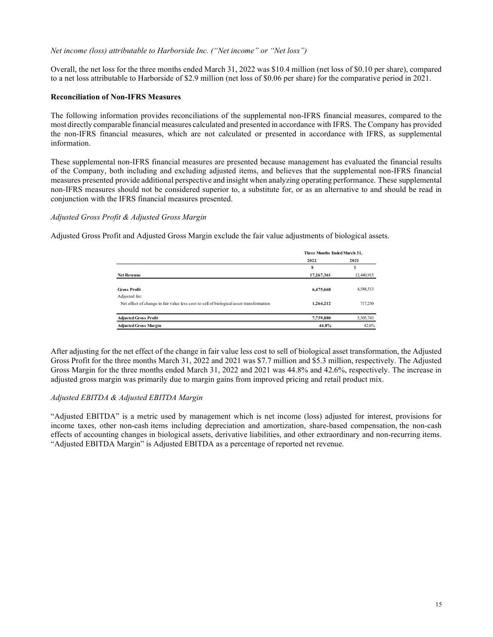## Net income (loss) attributable to Harborside Inc. ("Net income" or "Net loss")

Overall, the net loss for the three months ended March 31, 2022 was \$10.4 million (net loss of \$0.10 per share), compared to a net loss attributable to Harborside of \$2.9 million (net loss of \$0.06 per share) for the comparative period in 2021.

## Reconciliation of Non-IFRS Measures

The following information provides reconciliations of the supplemental non-IFRS financial measures, compared to the most directly comparable financial measures calculated and presented in accordance with IFRS. The Company has provided the non-IFRS financial measures, which are not calculated or presented in accordance with IFRS, as supplemental information.

These supplemental non-IFRS financial measures are presented because management has evaluated the financial results of the Company, both including and excluding adjusted items, and believes that the supplemental non-IFRS financial measures presented provide additional perspective and insight when analyzing operating performance. These supplemental non-IFRS measures should not be considered superior to, a substitute for, or as an alternative to and should be read in conjunction with the IFRS financial measures presented. on (net loss of \$0.10 per share), compared<br>
re) for the comparative period in 2021.<br>
FRS financial measures, compared to the<br>
ce with IFRS. The Company has provided<br>
accordance with IFRS, as supplemental<br>
gement has evalua

## Adjusted Gross Profit & Adjusted Gross Margin

Adjusted Gross Profit and Adjusted Gross Margin exclude the fair value adjustments of biological assets.

|                                                                                         | Three Months Ended March 31, |            |
|-----------------------------------------------------------------------------------------|------------------------------|------------|
|                                                                                         | 2022                         | 2021       |
|                                                                                         |                              |            |
| <b>Net Revenue</b>                                                                      | 17,267,361                   | 12,440,915 |
|                                                                                         |                              |            |
| <b>Gross Profit</b>                                                                     | 6,475,668                    | 4,588,513  |
| Adjusted for:                                                                           |                              |            |
| Net effect of change in fair value less cost to sell of biological asset transformation | 1,264,212                    | 717,230    |
|                                                                                         |                              |            |
| <b>Adjusted Gross Profit</b>                                                            | 7,739,880                    | 5,305,743  |
| <b>Adjusted Gross Margin</b>                                                            | 44.8%                        | 42.6%      |

After adjusting for the net effect of the change in fair value less cost to sell of biological asset transformation, the Adjusted Gross Profit for the three months March 31, 2022 and 2021 was \$7.7 million and \$5.3 million, respectively. The Adjusted Gross Margin for the three months ended March 31, 2022 and 2021 was 44.8% and 42.6%, respectively. The increase in adjusted gross margin was primarily due to margin gains from improved pricing and retail product mix.

## Adjusted EBITDA & Adjusted EBITDA Margin

"Adjusted EBITDA" is a metric used by management which is net income (loss) adjusted for interest, provisions for income taxes, other non-cash items including depreciation and amortization, share-based compensation, the non-cash effects of accounting changes in biological assets, derivative liabilities, and other extraordinary and non-recurring items. "Adjusted EBITDA Margin" is Adjusted EBITDA as a percentage of reported net revenue.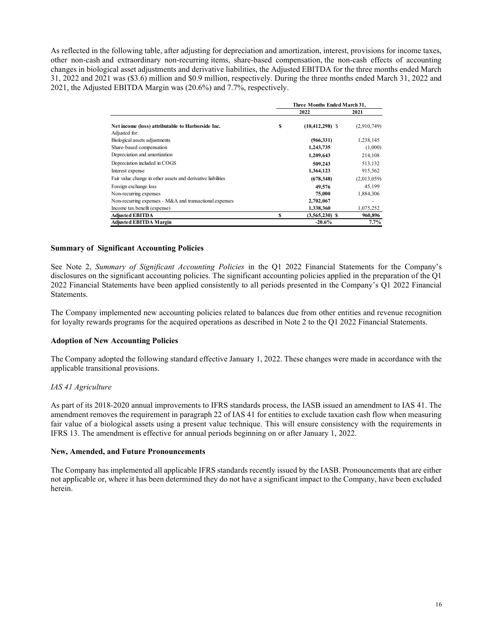As reflected in the following table, after adjusting for depreciation and amortization, interest, provisions for income taxes, other non-cash and extraordinary non-recurring items, share-based compensation, the non-cash effects of accounting changes in biological asset adjustments and derivative liabilities, the Adjusted EBITDA for the three months ended March 31, 2022 and 2021 was (\$3.6) million and \$0.9 million, respectively. During the three months ended March 31, 2022 and 2021, the Adjusted EBITDA Margin was (20.6%) and 7.7%, respectively. zation, interest, provisions for income taxes,<br>
sation, the non-cash effects of accounting<br>
EBITDA for the three months ended March<br>
the three months ended March 31, 2022 and<br>
ree Months Ended March 31,<br>  $2022$ <br>  $2021$ <br>

| following table, after adjusting for depreciation and amortization, interest, provisions for income taxes, |              |                              |             |  |
|------------------------------------------------------------------------------------------------------------|--------------|------------------------------|-------------|--|
| d extraordinary non-recurring items, share-based compensation, the non-cash effects of accounting          |              |                              |             |  |
| cal asset adjustments and derivative liabilities, the Adjusted EBITDA for the three months ended March     |              |                              |             |  |
|                                                                                                            |              |                              |             |  |
| l was (\$3.6) million and \$0.9 million, respectively. During the three months ended March 31, 2022 and    |              |                              |             |  |
| d EBITDA Margin was (20.6%) and 7.7%, respectively.                                                        |              |                              |             |  |
|                                                                                                            |              |                              |             |  |
|                                                                                                            |              | Three Months Ended March 31, |             |  |
|                                                                                                            |              | 2022                         | 2021        |  |
| Net income (loss) attributable to Harborside Inc.                                                          | \$           | $(10, 412, 298)$ \$          | (2,910,749) |  |
| Adjusted for:                                                                                              |              |                              |             |  |
| Biological assets adjustments                                                                              |              | (966, 331)                   | 1,238,145   |  |
| Share-based compensation                                                                                   |              | 1,243,735                    | (1,000)     |  |
| Depreciation and amortization                                                                              |              | 1,209,643                    | 214,108     |  |
| Depreciation included in COGS                                                                              |              | 509,243                      | 513,132     |  |
| Interest expense                                                                                           |              | 1,364,123                    | 915,562     |  |
| Fair value change in other assets and derivative liabilities                                               |              | (678, 348)                   | (2,013,059) |  |
| Foreign exchange loss                                                                                      |              | 49,576                       | 45,199      |  |
| Non-recurring expenses                                                                                     |              | 75,000                       | 1,884,306   |  |
| Non-recurring expenses - M&A and transactional expenses                                                    |              | 2,702,067                    |             |  |
| Income tax benefit (expense)                                                                               |              | 1,338,360                    | 1,075,252   |  |
| <b>Adjusted EBITDA</b>                                                                                     | $\mathbf{s}$ | $(3,565,230)$ \$             | 960,896     |  |
| <b>Adjusted EBITDA Margin</b>                                                                              |              | $-20.6%$                     | 7.7%        |  |

## Summary of Significant Accounting Policies

See Note 2, Summary of Significant Accounting Policies in the Q1 2022 Financial Statements for the Company's disclosures on the significant accounting policies. The significant accounting policies applied in the preparation of the Q1 2022 Financial Statements have been applied consistently to all periods presented in the Company's Q1 2022 Financial Statements.

The Company implemented new accounting policies related to balances due from other entities and revenue recognition for loyalty rewards programs for the acquired operations as described in Note 2 to the Q1 2022 Financial Statements.

#### Adoption of New Accounting Policies

The Company adopted the following standard effective January 1, 2022. These changes were made in accordance with the applicable transitional provisions.

#### IAS 41 Agriculture

As part of its 2018-2020 annual improvements to IFRS standards process, the IASB issued an amendment to IAS 41. The amendment removes the requirement in paragraph 22 of IAS 41 for entities to exclude taxation cash flow when measuring fair value of a biological assets using a present value technique. This will ensure consistency with the requirements in IFRS 13. The amendment is effective for annual periods beginning on or after January 1, 2022.

#### New, Amended, and Future Pronouncements

The Company has implemented all applicable IFRS standards recently issued by the IASB. Pronouncements that are either not applicable or, where it has been determined they do not have a significant impact to the Company, have been excluded herein.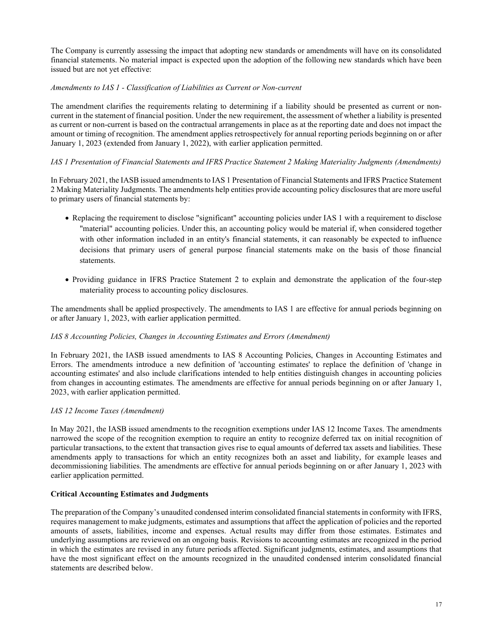The Company is currently assessing the impact that adopting new standards or amendments will have on its consolidated financial statements. No material impact is expected upon the adoption of the following new standards which have been issued but are not yet effective:

## Amendments to IAS 1 - Classification of Liabilities as Current or Non-current

The amendment clarifies the requirements relating to determining if a liability should be presented as current or noncurrent in the statement of financial position. Under the new requirement, the assessment of whether a liability is presented as current or non-current is based on the contractual arrangements in place as at the reporting date and does not impact the amount or timing of recognition. The amendment applies retrospectively for annual reporting periods beginning on or after January 1, 2023 (extended from January 1, 2022), with earlier application permitted.

## IAS 1 Presentation of Financial Statements and IFRS Practice Statement 2 Making Materiality Judgments (Amendments)

In February 2021, the IASB issued amendments to IAS 1 Presentation of Financial Statements and IFRS Practice Statement 2 Making Materiality Judgments. The amendments help entities provide accounting policy disclosures that are more useful to primary users of financial statements by:

- Replacing the requirement to disclose "significant" accounting policies under IAS 1 with a requirement to disclose "material" accounting policies. Under this, an accounting policy would be material if, when considered together with other information included in an entity's financial statements, it can reasonably be expected to influence decisions that primary users of general purpose financial statements make on the basis of those financial statements.
- Providing guidance in IFRS Practice Statement 2 to explain and demonstrate the application of the four-step materiality process to accounting policy disclosures.

The amendments shall be applied prospectively. The amendments to IAS 1 are effective for annual periods beginning on or after January 1, 2023, with earlier application permitted.

## IAS 8 Accounting Policies, Changes in Accounting Estimates and Errors (Amendment)

In February 2021, the IASB issued amendments to IAS 8 Accounting Policies, Changes in Accounting Estimates and Errors. The amendments introduce a new definition of 'accounting estimates' to replace the definition of 'change in accounting estimates' and also include clarifications intended to help entities distinguish changes in accounting policies from changes in accounting estimates. The amendments are effective for annual periods beginning on or after January 1, 2023, with earlier application permitted.

## IAS 12 Income Taxes (Amendment)

In May 2021, the IASB issued amendments to the recognition exemptions under IAS 12 Income Taxes. The amendments narrowed the scope of the recognition exemption to require an entity to recognize deferred tax on initial recognition of particular transactions, to the extent that transaction gives rise to equal amounts of deferred tax assets and liabilities. These amendments apply to transactions for which an entity recognizes both an asset and liability, for example leases and decommissioning liabilities. The amendments are effective for annual periods beginning on or after January 1, 2023 with earlier application permitted.

#### Critical Accounting Estimates and Judgments

The preparation of the Company's unaudited condensed interim consolidated financial statements in conformity with IFRS, requires management to make judgments, estimates and assumptions that affect the application of policies and the reported amounts of assets, liabilities, income and expenses. Actual results may differ from those estimates. Estimates and underlying assumptions are reviewed on an ongoing basis. Revisions to accounting estimates are recognized in the period in which the estimates are revised in any future periods affected. Significant judgments, estimates, and assumptions that have the most significant effect on the amounts recognized in the unaudited condensed interim consolidated financial statements are described below.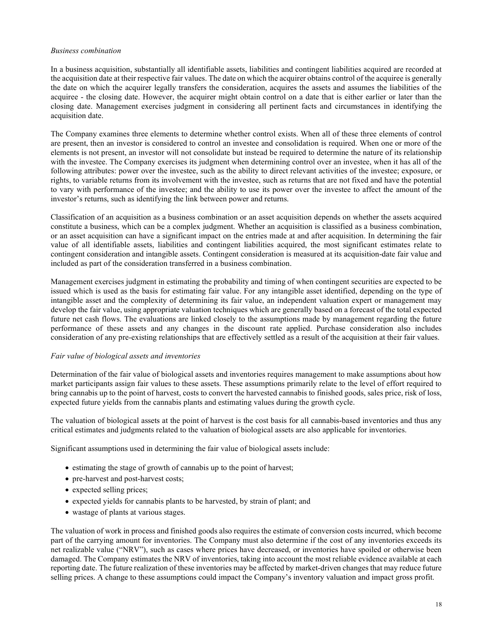#### Business combination

In a business acquisition, substantially all identifiable assets, liabilities and contingent liabilities acquired are recorded at the acquisition date at their respective fair values. The date on which the acquirer obtains control of the acquiree is generally the date on which the acquirer legally transfers the consideration, acquires the assets and assumes the liabilities of the acquiree - the closing date. However, the acquirer might obtain control on a date that is either earlier or later than the closing date. Management exercises judgment in considering all pertinent facts and circumstances in identifying the acquisition date.

The Company examines three elements to determine whether control exists. When all of these three elements of control are present, then an investor is considered to control an investee and consolidation is required. When one or more of the elements is not present, an investor will not consolidate but instead be required to determine the nature of its relationship with the investee. The Company exercises its judgment when determining control over an investee, when it has all of the following attributes: power over the investee, such as the ability to direct relevant activities of the investee; exposure, or rights, to variable returns from its involvement with the investee, such as returns that are not fixed and have the potential to vary with performance of the investee; and the ability to use its power over the investee to affect the amount of the investor's returns, such as identifying the link between power and returns.

Classification of an acquisition as a business combination or an asset acquisition depends on whether the assets acquired constitute a business, which can be a complex judgment. Whether an acquisition is classified as a business combination, or an asset acquisition can have a significant impact on the entries made at and after acquisition. In determining the fair value of all identifiable assets, liabilities and contingent liabilities acquired, the most significant estimates relate to contingent consideration and intangible assets. Contingent consideration is measured at its acquisition-date fair value and included as part of the consideration transferred in a business combination.

Management exercises judgment in estimating the probability and timing of when contingent securities are expected to be issued which is used as the basis for estimating fair value. For any intangible asset identified, depending on the type of intangible asset and the complexity of determining its fair value, an independent valuation expert or management may develop the fair value, using appropriate valuation techniques which are generally based on a forecast of the total expected future net cash flows. The evaluations are linked closely to the assumptions made by management regarding the future performance of these assets and any changes in the discount rate applied. Purchase consideration also includes consideration of any pre-existing relationships that are effectively settled as a result of the acquisition at their fair values.

#### Fair value of biological assets and inventories

Determination of the fair value of biological assets and inventories requires management to make assumptions about how market participants assign fair values to these assets. These assumptions primarily relate to the level of effort required to bring cannabis up to the point of harvest, costs to convert the harvested cannabis to finished goods, sales price, risk of loss, expected future yields from the cannabis plants and estimating values during the growth cycle.

The valuation of biological assets at the point of harvest is the cost basis for all cannabis-based inventories and thus any critical estimates and judgments related to the valuation of biological assets are also applicable for inventories.

Significant assumptions used in determining the fair value of biological assets include:

- estimating the stage of growth of cannabis up to the point of harvest;
- pre-harvest and post-harvest costs;
- expected selling prices;
- expected yields for cannabis plants to be harvested, by strain of plant; and
- wastage of plants at various stages.

The valuation of work in process and finished goods also requires the estimate of conversion costs incurred, which become part of the carrying amount for inventories. The Company must also determine if the cost of any inventories exceeds its net realizable value ("NRV"), such as cases where prices have decreased, or inventories have spoiled or otherwise been damaged. The Company estimates the NRV of inventories, taking into account the most reliable evidence available at each reporting date. The future realization of these inventories may be affected by market-driven changes that may reduce future selling prices. A change to these assumptions could impact the Company's inventory valuation and impact gross profit.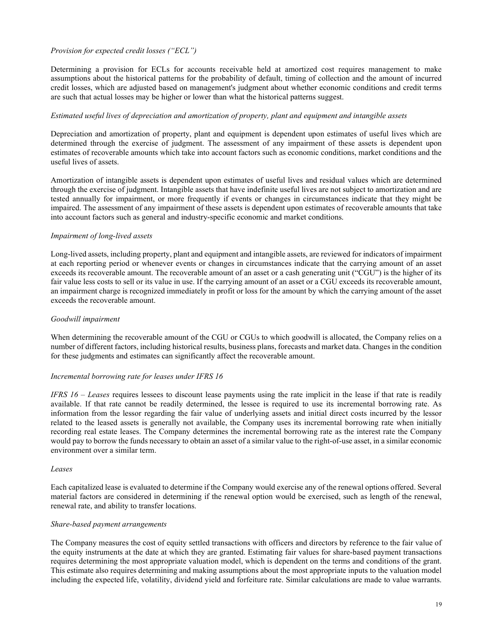## Provision for expected credit losses ("ECL")

Determining a provision for ECLs for accounts receivable held at amortized cost requires management to make assumptions about the historical patterns for the probability of default, timing of collection and the amount of incurred credit losses, which are adjusted based on management's judgment about whether economic conditions and credit terms are such that actual losses may be higher or lower than what the historical patterns suggest.

## Estimated useful lives of depreciation and amortization of property, plant and equipment and intangible assets

Depreciation and amortization of property, plant and equipment is dependent upon estimates of useful lives which are determined through the exercise of judgment. The assessment of any impairment of these assets is dependent upon estimates of recoverable amounts which take into account factors such as economic conditions, market conditions and the useful lives of assets.

Amortization of intangible assets is dependent upon estimates of useful lives and residual values which are determined through the exercise of judgment. Intangible assets that have indefinite useful lives are not subject to amortization and are tested annually for impairment, or more frequently if events or changes in circumstances indicate that they might be impaired. The assessment of any impairment of these assets is dependent upon estimates of recoverable amounts that take into account factors such as general and industry-specific economic and market conditions.

## Impairment of long-lived assets

Long-lived assets, including property, plant and equipment and intangible assets, are reviewed for indicators of impairment at each reporting period or whenever events or changes in circumstances indicate that the carrying amount of an asset exceeds its recoverable amount. The recoverable amount of an asset or a cash generating unit ("CGU") is the higher of its fair value less costs to sell or its value in use. If the carrying amount of an asset or a CGU exceeds its recoverable amount, an impairment charge is recognized immediately in profit or loss for the amount by which the carrying amount of the asset exceeds the recoverable amount.

## Goodwill impairment

When determining the recoverable amount of the CGU or CGUs to which goodwill is allocated, the Company relies on a number of different factors, including historical results, business plans, forecasts and market data. Changes in the condition for these judgments and estimates can significantly affect the recoverable amount.

#### Incremental borrowing rate for leases under IFRS 16

IFRS  $16 -$  Leases requires lessees to discount lease payments using the rate implicit in the lease if that rate is readily available. If that rate cannot be readily determined, the lessee is required to use its incremental borrowing rate. As information from the lessor regarding the fair value of underlying assets and initial direct costs incurred by the lessor related to the leased assets is generally not available, the Company uses its incremental borrowing rate when initially recording real estate leases. The Company determines the incremental borrowing rate as the interest rate the Company would pay to borrow the funds necessary to obtain an asset of a similar value to the right-of-use asset, in a similar economic environment over a similar term.

#### Leases

Each capitalized lease is evaluated to determine if the Company would exercise any of the renewal options offered. Several material factors are considered in determining if the renewal option would be exercised, such as length of the renewal, renewal rate, and ability to transfer locations.

#### Share-based payment arrangements

The Company measures the cost of equity settled transactions with officers and directors by reference to the fair value of the equity instruments at the date at which they are granted. Estimating fair values for share-based payment transactions requires determining the most appropriate valuation model, which is dependent on the terms and conditions of the grant. This estimate also requires determining and making assumptions about the most appropriate inputs to the valuation model including the expected life, volatility, dividend yield and forfeiture rate. Similar calculations are made to value warrants.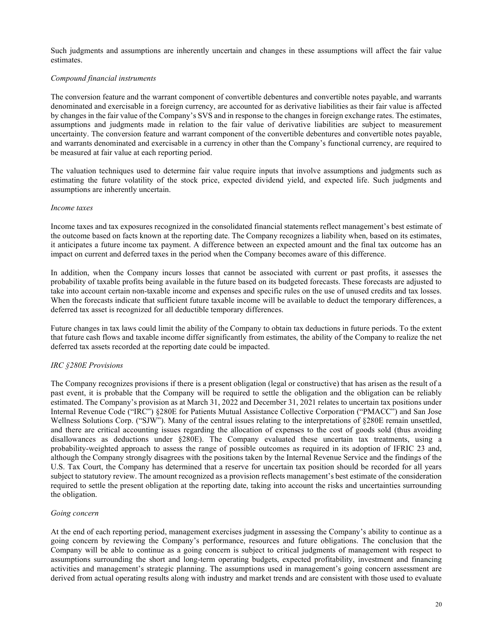Such judgments and assumptions are inherently uncertain and changes in these assumptions will affect the fair value estimates.

## Compound financial instruments

The conversion feature and the warrant component of convertible debentures and convertible notes payable, and warrants denominated and exercisable in a foreign currency, are accounted for as derivative liabilities as their fair value is affected by changes in the fair value of the Company's SVS and in response to the changes in foreign exchange rates. The estimates, assumptions and judgments made in relation to the fair value of derivative liabilities are subject to measurement uncertainty. The conversion feature and warrant component of the convertible debentures and convertible notes payable, and warrants denominated and exercisable in a currency in other than the Company's functional currency, are required to be measured at fair value at each reporting period.

The valuation techniques used to determine fair value require inputs that involve assumptions and judgments such as estimating the future volatility of the stock price, expected dividend yield, and expected life. Such judgments and assumptions are inherently uncertain.

#### Income taxes

Income taxes and tax exposures recognized in the consolidated financial statements reflect management's best estimate of the outcome based on facts known at the reporting date. The Company recognizes a liability when, based on its estimates, it anticipates a future income tax payment. A difference between an expected amount and the final tax outcome has an impact on current and deferred taxes in the period when the Company becomes aware of this difference.

In addition, when the Company incurs losses that cannot be associated with current or past profits, it assesses the probability of taxable profits being available in the future based on its budgeted forecasts. These forecasts are adjusted to take into account certain non-taxable income and expenses and specific rules on the use of unused credits and tax losses. When the forecasts indicate that sufficient future taxable income will be available to deduct the temporary differences, a deferred tax asset is recognized for all deductible temporary differences.

Future changes in tax laws could limit the ability of the Company to obtain tax deductions in future periods. To the extent that future cash flows and taxable income differ significantly from estimates, the ability of the Company to realize the net deferred tax assets recorded at the reporting date could be impacted.

## IRC §280E Provisions

The Company recognizes provisions if there is a present obligation (legal or constructive) that has arisen as the result of a past event, it is probable that the Company will be required to settle the obligation and the obligation can be reliably estimated. The Company's provision as at March 31, 2022 and December 31, 2021 relates to uncertain tax positions under Internal Revenue Code ("IRC") §280E for Patients Mutual Assistance Collective Corporation ("PMACC") and San Jose Wellness Solutions Corp. ("SJW"). Many of the central issues relating to the interpretations of §280E remain unsettled, and there are critical accounting issues regarding the allocation of expenses to the cost of goods sold (thus avoiding disallowances as deductions under §280E). The Company evaluated these uncertain tax treatments, using a probability-weighted approach to assess the range of possible outcomes as required in its adoption of IFRIC 23 and, although the Company strongly disagrees with the positions taken by the Internal Revenue Service and the findings of the U.S. Tax Court, the Company has determined that a reserve for uncertain tax position should be recorded for all years subject to statutory review. The amount recognized as a provision reflects management's best estimate of the consideration required to settle the present obligation at the reporting date, taking into account the risks and uncertainties surrounding the obligation.

#### Going concern

At the end of each reporting period, management exercises judgment in assessing the Company's ability to continue as a going concern by reviewing the Company's performance, resources and future obligations. The conclusion that the Company will be able to continue as a going concern is subject to critical judgments of management with respect to assumptions surrounding the short and long-term operating budgets, expected profitability, investment and financing activities and management's strategic planning. The assumptions used in management's going concern assessment are derived from actual operating results along with industry and market trends and are consistent with those used to evaluate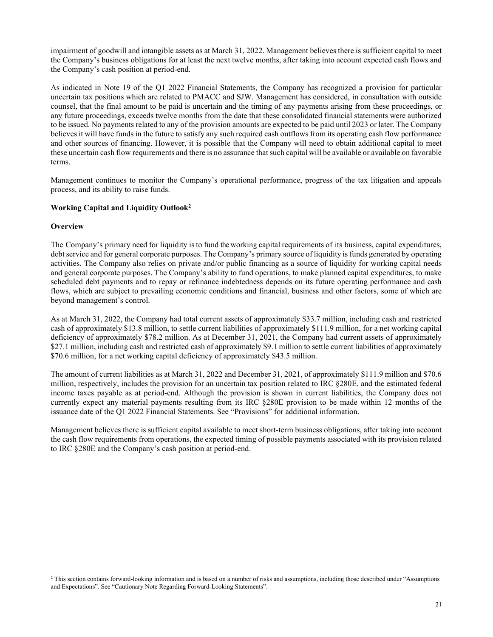impairment of goodwill and intangible assets as at March 31, 2022. Management believes there is sufficient capital to meet the Company's business obligations for at least the next twelve months, after taking into account expected cash flows and the Company's cash position at period-end.

As indicated in Note 19 of the Q1 2022 Financial Statements, the Company has recognized a provision for particular uncertain tax positions which are related to PMACC and SJW. Management has considered, in consultation with outside counsel, that the final amount to be paid is uncertain and the timing of any payments arising from these proceedings, or any future proceedings, exceeds twelve months from the date that these consolidated financial statements were authorized to be issued. No payments related to any of the provision amounts are expected to be paid until 2023 or later. The Company believes it will have funds in the future to satisfy any such required cash outflows from its operating cash flow performance and other sources of financing. However, it is possible that the Company will need to obtain additional capital to meet these uncertain cash flow requirements and there is no assurance that such capital will be available or available on favorable terms.

Management continues to monitor the Company's operational performance, progress of the tax litigation and appeals process, and its ability to raise funds.

## Working Capital and Liquidity Outlook<sup>2</sup>

## **Overview**

The Company's primary need for liquidity is to fund the working capital requirements of its business, capital expenditures, debt service and for general corporate purposes. The Company's primary source of liquidity is funds generated by operating activities. The Company also relies on private and/or public financing as a source of liquidity for working capital needs and general corporate purposes. The Company's ability to fund operations, to make planned capital expenditures, to make scheduled debt payments and to repay or refinance indebtedness depends on its future operating performance and cash flows, which are subject to prevailing economic conditions and financial, business and other factors, some of which are beyond management's control.

As at March 31, 2022, the Company had total current assets of approximately \$33.7 million, including cash and restricted cash of approximately \$13.8 million, to settle current liabilities of approximately \$111.9 million, for a net working capital deficiency of approximately \$78.2 million. As at December 31, 2021, the Company had current assets of approximately \$27.1 million, including cash and restricted cash of approximately \$9.1 million to settle current liabilities of approximately \$70.6 million, for a net working capital deficiency of approximately \$43.5 million.

The amount of current liabilities as at March 31, 2022 and December 31, 2021, of approximately \$111.9 million and \$70.6 million, respectively, includes the provision for an uncertain tax position related to IRC §280E, and the estimated federal income taxes payable as at period-end. Although the provision is shown in current liabilities, the Company does not currently expect any material payments resulting from its IRC §280E provision to be made within 12 months of the issuance date of the Q1 2022 Financial Statements. See "Provisions" for additional information.

Management believes there is sufficient capital available to meet short-term business obligations, after taking into account the cash flow requirements from operations, the expected timing of possible payments associated with its provision related to IRC §280E and the Company's cash position at period-end.

<sup>2</sup> This section contains forward-looking information and is based on a number of risks and assumptions, including those described under "Assumptions and Expectations". See "Cautionary Note Regarding Forward-Looking Statements".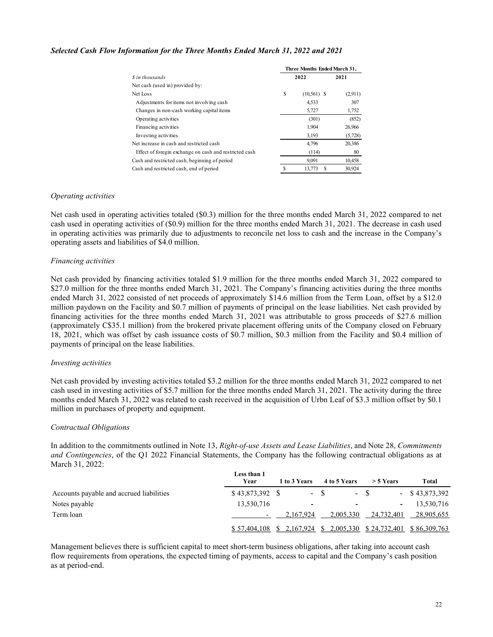## Selected Cash Flow Information for the Three Months Ended March 31, 2022 and 2021

| rmation for the Three Months Ended March 31, 2022 and 2021                               |             |                              |                  |
|------------------------------------------------------------------------------------------|-------------|------------------------------|------------------|
|                                                                                          |             | Three Months Ended March 31, |                  |
| \$ in thousands                                                                          |             | 2022                         | 2021             |
| Net cash (used in) provided by:<br>Net Loss                                              | \$          | $(10,561)$ \$                | (2,911)          |
| Adjustments for items not involving cash                                                 |             | 4,533                        | 307              |
| Changes in non-cash working capital items                                                |             | 5,727                        | 1,752            |
| Operating activities                                                                     |             | (301)                        | (852)            |
| Financing activities                                                                     |             | 1,904                        | 26,966           |
| Investing activities                                                                     |             | 3,193                        | (5,728)          |
| Net increase in cash and restricted cash                                                 |             | 4,796                        | 20,386           |
| Effect of foregin exchange on cash and restricted cash                                   |             | (114)                        | 80               |
| Cash and restricted cash, beginning of period<br>Cash and restricted cash, end of period | $\mathbf S$ | 9,091<br>13,773 \$           | 10,458<br>30,924 |

#### Operating activities

Net cash used in operating activities totaled (\$0.3) million for the three months ended March 31, 2022 compared to net cash used in operating activities of (\$0.9) million for the three months ended March 31, 2021. The decrease in cash used in operating activities was primarily due to adjustments to reconcile net loss to cash and the increase in the Company's operating assets and liabilities of \$4.0 million.

## Financing activities

Net cash provided by financing activities totaled \$1.9 million for the three months ended March 31, 2022 compared to \$27.0 million for the three months ended March 31, 2021. The Company's financing activities during the three months ended March 31, 2022 consisted of net proceeds of approximately \$14.6 million from the Term Loan, offset by a \$12.0 million paydown on the Facility and \$0.7 million of payments of principal on the lease liabilities. Net cash provided by financing activities for the three months ended March 31, 2021 was attributable to gross proceeds of \$27.6 million (approximately C\$35.1 million) from the brokered private placement offering units of the Company closed on February 18, 2021, which was offset by cash issuance costs of \$0.7 million, \$0.3 million from the Facility and \$0.4 million of payments of principal on the lease liabilities.

#### Investing activities

Net cash provided by investing activities totaled \$3.2 million for the three months ended March 31, 2022 compared to net cash used in investing activities of \$5.7 million for the three months ended March 31, 2021. The activity during the three months ended March 31, 2022 was related to cash received in the acquisition of Urbn Leaf of \$3.3 million offset by \$0.1 million in purchases of property and equipment.

#### Contractual Obligations

In addition to the commitments outlined in Note 13, Right-of-use Assets and Lease Liabilities, and Note 28, Commitments and Contingencies, of the Q1 2022 Financial Statements, the Company has the following contractual obligations as at March 31, 2022:

|                                          | Less than 1<br>Year | 1 to 3 Years   | 4 to 5 Years | $> 5$ Years                                                         | Total             |
|------------------------------------------|---------------------|----------------|--------------|---------------------------------------------------------------------|-------------------|
| Accounts payable and accrued liabilities |                     |                | $- S$        | $-$ S                                                               | $-$ \$ 43,873,392 |
| Notes payable                            | 13,530,716          | $\blacksquare$ | ۰.           | -                                                                   | 13,530,716        |
| Term loan                                |                     | 2.167.924      | 2.005.330    | 24.732.401                                                          | 28,905,655        |
|                                          |                     |                |              | $$57,404,108$ $$2,167,924$ $$2,005,330$ $$24,732,401$ $$86,309,763$ |                   |

Management believes there is sufficient capital to meet short-term business obligations, after taking into account cash flow requirements from operations, the expected timing of payments, access to capital and the Company's cash position as at period-end.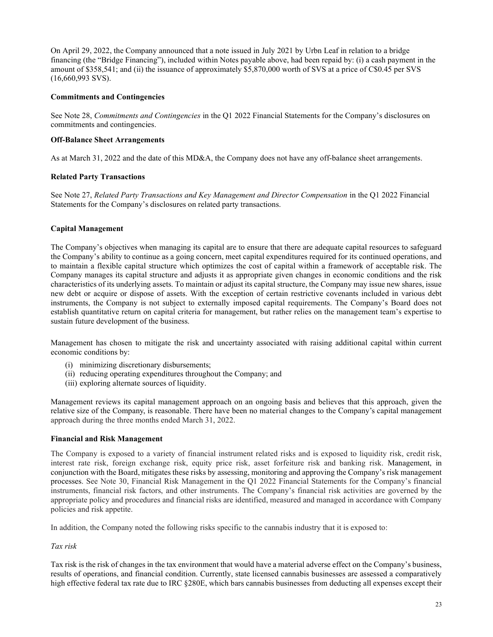On April 29, 2022, the Company announced that a note issued in July 2021 by Urbn Leaf in relation to a bridge financing (the "Bridge Financing"), included within Notes payable above, had been repaid by: (i) a cash payment in the amount of \$358,541; and (ii) the issuance of approximately \$5,870,000 worth of SVS at a price of C\$0.45 per SVS (16,660,993 SVS).

## Commitments and Contingencies

See Note 28, Commitments and Contingencies in the Q1 2022 Financial Statements for the Company's disclosures on commitments and contingencies.

## Off-Balance Sheet Arrangements

As at March 31, 2022 and the date of this MD&A, the Company does not have any off-balance sheet arrangements.

## Related Party Transactions

See Note 27, Related Party Transactions and Key Management and Director Compensation in the Q1 2022 Financial Statements for the Company's disclosures on related party transactions.

## Capital Management

The Company's objectives when managing its capital are to ensure that there are adequate capital resources to safeguard the Company's ability to continue as a going concern, meet capital expenditures required for its continued operations, and to maintain a flexible capital structure which optimizes the cost of capital within a framework of acceptable risk. The Company manages its capital structure and adjusts it as appropriate given changes in economic conditions and the risk characteristics of its underlying assets. To maintain or adjust its capital structure, the Company may issue new shares, issue new debt or acquire or dispose of assets. With the exception of certain restrictive covenants included in various debt instruments, the Company is not subject to externally imposed capital requirements. The Company's Board does not establish quantitative return on capital criteria for management, but rather relies on the management team's expertise to sustain future development of the business.

Management has chosen to mitigate the risk and uncertainty associated with raising additional capital within current economic conditions by:

- (i) minimizing discretionary disbursements;
- (ii) reducing operating expenditures throughout the Company; and
- (iii) exploring alternate sources of liquidity.

Management reviews its capital management approach on an ongoing basis and believes that this approach, given the relative size of the Company, is reasonable. There have been no material changes to the Company's capital management approach during the three months ended March 31, 2022.

#### Financial and Risk Management

The Company is exposed to a variety of financial instrument related risks and is exposed to liquidity risk, credit risk, interest rate risk, foreign exchange risk, equity price risk, asset forfeiture risk and banking risk. Management, in conjunction with the Board, mitigates these risks by assessing, monitoring and approving the Company's risk management processes. See Note 30, Financial Risk Management in the Q1 2022 Financial Statements for the Company's financial instruments, financial risk factors, and other instruments. The Company's financial risk activities are governed by the appropriate policy and procedures and financial risks are identified, measured and managed in accordance with Company policies and risk appetite.

In addition, the Company noted the following risks specific to the cannabis industry that it is exposed to:

# Tax risk

Tax risk is the risk of changes in the tax environment that would have a material adverse effect on the Company's business, results of operations, and financial condition. Currently, state licensed cannabis businesses are assessed a comparatively high effective federal tax rate due to IRC §280E, which bars cannabis businesses from deducting all expenses except their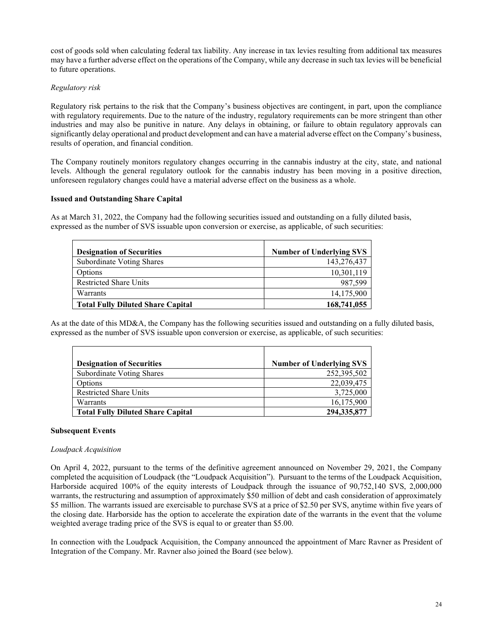cost of goods sold when calculating federal tax liability. Any increase in tax levies resulting from additional tax measures may have a further adverse effect on the operations of the Company, while any decrease in such tax levies will be beneficial to future operations.

## Regulatory risk

Regulatory risk pertains to the risk that the Company's business objectives are contingent, in part, upon the compliance with regulatory requirements. Due to the nature of the industry, regulatory requirements can be more stringent than other industries and may also be punitive in nature. Any delays in obtaining, or failure to obtain regulatory approvals can significantly delay operational and product development and can have a material adverse effect on the Company's business, results of operation, and financial condition.

The Company routinely monitors regulatory changes occurring in the cannabis industry at the city, state, and national levels. Although the general regulatory outlook for the cannabis industry has been moving in a positive direction, unforeseen regulatory changes could have a material adverse effect on the business as a whole.

## Issued and Outstanding Share Capital

As at March 31, 2022, the Company had the following securities issued and outstanding on a fully diluted basis, expressed as the number of SVS issuable upon conversion or exercise, as applicable, of such securities:

| <b>Designation of Securities</b>         | <b>Number of Underlying SVS</b> |
|------------------------------------------|---------------------------------|
| Subordinate Voting Shares                | 143,276,437                     |
| Options                                  | 10,301,119                      |
| <b>Restricted Share Units</b>            | 987,599                         |
| Warrants                                 | 14,175,900                      |
| <b>Total Fully Diluted Share Capital</b> | 168,741,055                     |

As at the date of this MD&A, the Company has the following securities issued and outstanding on a fully diluted basis, expressed as the number of SVS issuable upon conversion or exercise, as applicable, of such securities:

| <b>Designation of Securities</b>         | <b>Number of Underlying SVS</b> |
|------------------------------------------|---------------------------------|
| <b>Subordinate Voting Shares</b>         | 252,395,502                     |
| Options                                  | 22,039,475                      |
| <b>Restricted Share Units</b>            | 3,725,000                       |
| Warrants                                 | 16,175,900                      |
| <b>Total Fully Diluted Share Capital</b> | 294,335,877                     |

## Subsequent Events

## Loudpack Acquisition

On April 4, 2022, pursuant to the terms of the definitive agreement announced on November 29, 2021, the Company completed the acquisition of Loudpack (the "Loudpack Acquisition"). Pursuant to the terms of the Loudpack Acquisition, Harborside acquired 100% of the equity interests of Loudpack through the issuance of 90,752,140 SVS, 2,000,000 warrants, the restructuring and assumption of approximately \$50 million of debt and cash consideration of approximately \$5 million. The warrants issued are exercisable to purchase SVS at a price of \$2.50 per SVS, anytime within five years of the closing date. Harborside has the option to accelerate the expiration date of the warrants in the event that the volume weighted average trading price of the SVS is equal to or greater than \$5.00.

In connection with the Loudpack Acquisition, the Company announced the appointment of Marc Ravner as President of Integration of the Company. Mr. Ravner also joined the Board (see below).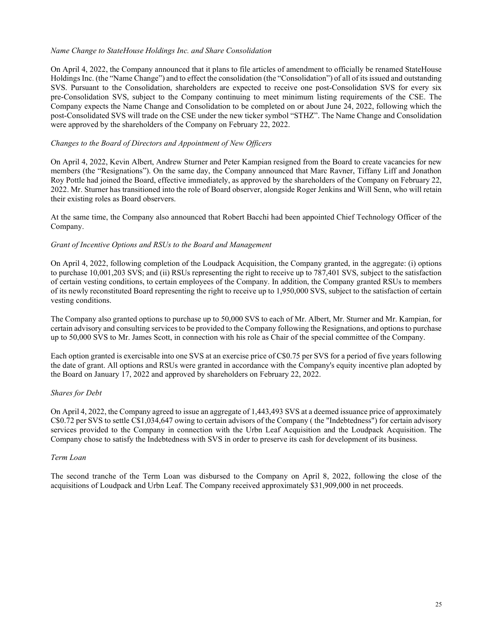## Name Change to StateHouse Holdings Inc. and Share Consolidation

On April 4, 2022, the Company announced that it plans to file articles of amendment to officially be renamed StateHouse Holdings Inc. (the "Name Change") and to effect the consolidation (the "Consolidation") of all of its issued and outstanding SVS. Pursuant to the Consolidation, shareholders are expected to receive one post-Consolidation SVS for every six pre-Consolidation SVS, subject to the Company continuing to meet minimum listing requirements of the CSE. The Company expects the Name Change and Consolidation to be completed on or about June 24, 2022, following which the post-Consolidated SVS will trade on the CSE under the new ticker symbol "STHZ". The Name Change and Consolidation were approved by the shareholders of the Company on February 22, 2022.

## Changes to the Board of Directors and Appointment of New Officers

On April 4, 2022, Kevin Albert, Andrew Sturner and Peter Kampian resigned from the Board to create vacancies for new members (the "Resignations"). On the same day, the Company announced that Marc Ravner, Tiffany Liff and Jonathon Roy Pottle had joined the Board, effective immediately, as approved by the shareholders of the Company on February 22, 2022. Mr. Sturner has transitioned into the role of Board observer, alongside Roger Jenkins and Will Senn, who will retain their existing roles as Board observers.

At the same time, the Company also announced that Robert Bacchi had been appointed Chief Technology Officer of the Company.

## Grant of Incentive Options and RSUs to the Board and Management

On April 4, 2022, following completion of the Loudpack Acquisition, the Company granted, in the aggregate: (i) options to purchase 10,001,203 SVS; and (ii) RSUs representing the right to receive up to 787,401 SVS, subject to the satisfaction of certain vesting conditions, to certain employees of the Company. In addition, the Company granted RSUs to members of its newly reconstituted Board representing the right to receive up to 1,950,000 SVS, subject to the satisfaction of certain vesting conditions.

The Company also granted options to purchase up to 50,000 SVS to each of Mr. Albert, Mr. Sturner and Mr. Kampian, for certain advisory and consulting services to be provided to the Company following the Resignations, and options to purchase up to 50,000 SVS to Mr. James Scott, in connection with his role as Chair of the special committee of the Company.

Each option granted is exercisable into one SVS at an exercise price of C\$0.75 per SVS for a period of five years following the date of grant. All options and RSUs were granted in accordance with the Company's equity incentive plan adopted by the Board on January 17, 2022 and approved by shareholders on February 22, 2022.

## Shares for Debt

On April 4, 2022, the Company agreed to issue an aggregate of 1,443,493 SVS at a deemed issuance price of approximately C\$0.72 per SVS to settle C\$1,034,647 owing to certain advisors of the Company ( the "Indebtedness") for certain advisory services provided to the Company in connection with the Urbn Leaf Acquisition and the Loudpack Acquisition. The Company chose to satisfy the Indebtedness with SVS in order to preserve its cash for development of its business.

## Term Loan

The second tranche of the Term Loan was disbursed to the Company on April 8, 2022, following the close of the acquisitions of Loudpack and Urbn Leaf. The Company received approximately \$31,909,000 in net proceeds.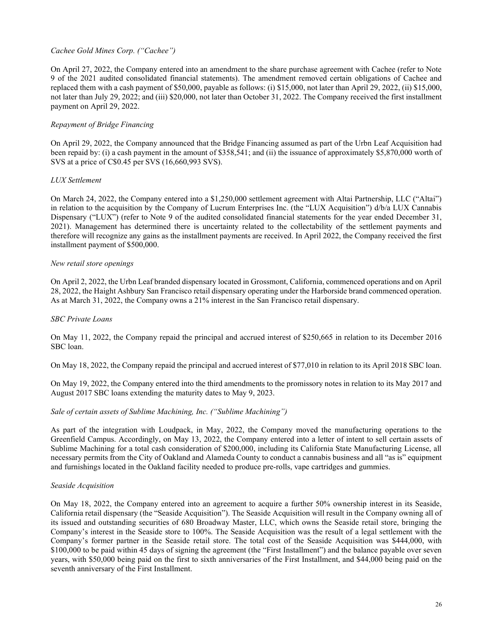## Cachee Gold Mines Corp. ("Cachee")

On April 27, 2022, the Company entered into an amendment to the share purchase agreement with Cachee (refer to Note 9 of the 2021 audited consolidated financial statements). The amendment removed certain obligations of Cachee and replaced them with a cash payment of \$50,000, payable as follows: (i) \$15,000, not later than April 29, 2022, (ii) \$15,000, not later than July 29, 2022; and (iii) \$20,000, not later than October 31, 2022. The Company received the first installment payment on April 29, 2022.

## Repayment of Bridge Financing

On April 29, 2022, the Company announced that the Bridge Financing assumed as part of the Urbn Leaf Acquisition had been repaid by: (i) a cash payment in the amount of \$358,541; and (ii) the issuance of approximately \$5,870,000 worth of SVS at a price of C\$0.45 per SVS (16,660,993 SVS).

#### LUX Settlement

On March 24, 2022, the Company entered into a \$1,250,000 settlement agreement with Altai Partnership, LLC ("Altai") in relation to the acquisition by the Company of Lucrum Enterprises Inc. (the "LUX Acquisition") d/b/a LUX Cannabis Dispensary ("LUX") (refer to Note 9 of the audited consolidated financial statements for the year ended December 31, 2021). Management has determined there is uncertainty related to the collectability of the settlement payments and therefore will recognize any gains as the installment payments are received. In April 2022, the Company received the first installment payment of \$500,000.

#### New retail store openings

On April 2, 2022, the Urbn Leaf branded dispensary located in Grossmont, California, commenced operations and on April 28, 2022, the Haight Ashbury San Francisco retail dispensary operating under the Harborside brand commenced operation. As at March 31, 2022, the Company owns a 21% interest in the San Francisco retail dispensary.

#### SBC Private Loans

On May 11, 2022, the Company repaid the principal and accrued interest of \$250,665 in relation to its December 2016 SBC loan.

On May 18, 2022, the Company repaid the principal and accrued interest of \$77,010 in relation to its April 2018 SBC loan.

On May 19, 2022, the Company entered into the third amendments to the promissory notes in relation to its May 2017 and August 2017 SBC loans extending the maturity dates to May 9, 2023.

#### Sale of certain assets of Sublime Machining, Inc. ("Sublime Machining")

As part of the integration with Loudpack, in May, 2022, the Company moved the manufacturing operations to the Greenfield Campus. Accordingly, on May 13, 2022, the Company entered into a letter of intent to sell certain assets of Sublime Machining for a total cash consideration of \$200,000, including its California State Manufacturing License, all necessary permits from the City of Oakland and Alameda County to conduct a cannabis business and all "as is" equipment and furnishings located in the Oakland facility needed to produce pre-rolls, vape cartridges and gummies.

#### Seaside Acquisition

On May 18, 2022, the Company entered into an agreement to acquire a further 50% ownership interest in its Seaside, California retail dispensary (the "Seaside Acquisition"). The Seaside Acquisition will result in the Company owning all of its issued and outstanding securities of 680 Broadway Master, LLC, which owns the Seaside retail store, bringing the Company's interest in the Seaside store to 100%. The Seaside Acquisition was the result of a legal settlement with the Company's former partner in the Seaside retail store. The total cost of the Seaside Acquisition was \$444,000, with \$100,000 to be paid within 45 days of signing the agreement (the "First Installment") and the balance payable over seven years, with \$50,000 being paid on the first to sixth anniversaries of the First Installment, and \$44,000 being paid on the seventh anniversary of the First Installment.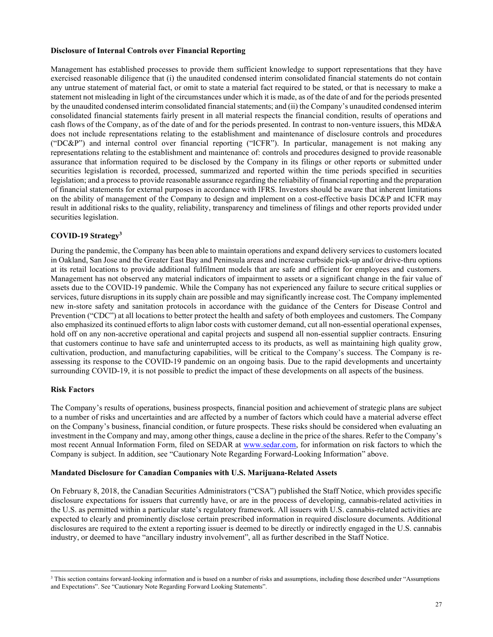## Disclosure of Internal Controls over Financial Reporting

Management has established processes to provide them sufficient knowledge to support representations that they have exercised reasonable diligence that (i) the unaudited condensed interim consolidated financial statements do not contain any untrue statement of material fact, or omit to state a material fact required to be stated, or that is necessary to make a statement not misleading in light of the circumstances under which it is made, as of the date of and for the periods presented by the unaudited condensed interim consolidated financial statements; and (ii) the Company's unaudited condensed interim consolidated financial statements fairly present in all material respects the financial condition, results of operations and cash flows of the Company, as of the date of and for the periods presented. In contrast to non-venture issuers, this MD&A does not include representations relating to the establishment and maintenance of disclosure controls and procedures ("DC&P") and internal control over financial reporting ("ICFR"). In particular, management is not making any representations relating to the establishment and maintenance of: controls and procedures designed to provide reasonable assurance that information required to be disclosed by the Company in its filings or other reports or submitted under securities legislation is recorded, processed, summarized and reported within the time periods specified in securities legislation; and a process to provide reasonable assurance regarding the reliability of financial reporting and the preparation of financial statements for external purposes in accordance with IFRS. Investors should be aware that inherent limitations on the ability of management of the Company to design and implement on a cost-effective basis DC&P and ICFR may result in additional risks to the quality, reliability, transparency and timeliness of filings and other reports provided under securities legislation.

## COVID-19 Strategy<sup>3</sup>

During the pandemic, the Company has been able to maintain operations and expand delivery services to customers located in Oakland, San Jose and the Greater East Bay and Peninsula areas and increase curbside pick-up and/or drive-thru options at its retail locations to provide additional fulfilment models that are safe and efficient for employees and customers. Management has not observed any material indicators of impairment to assets or a significant change in the fair value of assets due to the COVID-19 pandemic. While the Company has not experienced any failure to secure critical supplies or services, future disruptions in its supply chain are possible and may significantly increase cost. The Company implemented new in-store safety and sanitation protocols in accordance with the guidance of the Centers for Disease Control and Prevention ("CDC") at all locations to better protect the health and safety of both employees and customers. The Company also emphasized its continued efforts to align labor costs with customer demand, cut all non-essential operational expenses, hold off on any non-accretive operational and capital projects and suspend all non-essential supplier contracts. Ensuring that customers continue to have safe and uninterrupted access to its products, as well as maintaining high quality grow, cultivation, production, and manufacturing capabilities, will be critical to the Company's success. The Company is reassessing its response to the COVID-19 pandemic on an ongoing basis. Due to the rapid developments and uncertainty surrounding COVID-19, it is not possible to predict the impact of these developments on all aspects of the business.

#### Risk Factors

The Company's results of operations, business prospects, financial position and achievement of strategic plans are subject to a number of risks and uncertainties and are affected by a number of factors which could have a material adverse effect on the Company's business, financial condition, or future prospects. These risks should be considered when evaluating an investment in the Company and may, among other things, cause a decline in the price of the shares. Refer to the Company's most recent Annual Information Form, filed on SEDAR at www.sedar.com, for information on risk factors to which the Company is subject. In addition, see "Cautionary Note Regarding Forward-Looking Information" above.

#### Mandated Disclosure for Canadian Companies with U.S. Marijuana-Related Assets

On February 8, 2018, the Canadian Securities Administrators ("CSA") published the Staff Notice, which provides specific disclosure expectations for issuers that currently have, or are in the process of developing, cannabis-related activities in the U.S. as permitted within a particular state's regulatory framework. All issuers with U.S. cannabis-related activities are expected to clearly and prominently disclose certain prescribed information in required disclosure documents. Additional disclosures are required to the extent a reporting issuer is deemed to be directly or indirectly engaged in the U.S. cannabis industry, or deemed to have "ancillary industry involvement", all as further described in the Staff Notice.

<sup>&</sup>lt;sup>3</sup> This section contains forward-looking information and is based on a number of risks and assumptions, including those described under "Assumptions and Expectations". See "Cautionary Note Regarding Forward Looking Statements".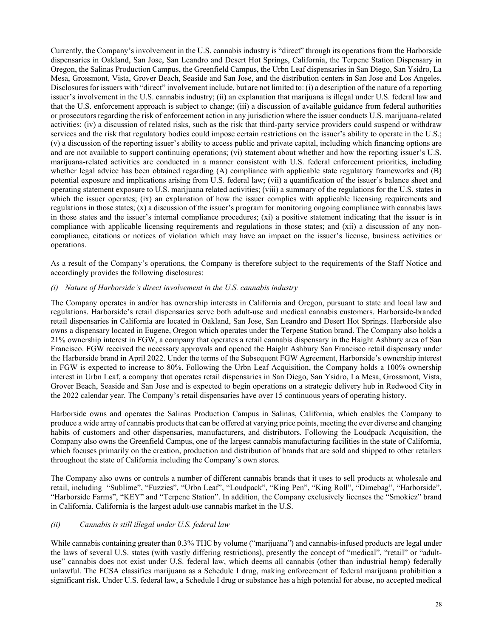Currently, the Company's involvement in the U.S. cannabis industry is "direct" through its operations from the Harborside dispensaries in Oakland, San Jose, San Leandro and Desert Hot Springs, California, the Terpene Station Dispensary in Oregon, the Salinas Production Campus, the Greenfield Campus, the Urbn Leaf dispensaries in San Diego, San Ysidro, La Mesa, Grossmont, Vista, Grover Beach, Seaside and San Jose, and the distribution centers in San Jose and Los Angeles. Disclosures for issuers with "direct" involvement include, but are not limited to: (i) a description of the nature of a reporting issuer's involvement in the U.S. cannabis industry; (ii) an explanation that marijuana is illegal under U.S. federal law and that the U.S. enforcement approach is subject to change; (iii) a discussion of available guidance from federal authorities or prosecutors regarding the risk of enforcement action in any jurisdiction where the issuer conducts U.S. marijuana-related activities; (iv) a discussion of related risks, such as the risk that third-party service providers could suspend or withdraw services and the risk that regulatory bodies could impose certain restrictions on the issuer's ability to operate in the U.S.; (v) a discussion of the reporting issuer's ability to access public and private capital, including which financing options are and are not available to support continuing operations; (vi) statement about whether and how the reporting issuer's U.S. marijuana-related activities are conducted in a manner consistent with U.S. federal enforcement priorities, including whether legal advice has been obtained regarding (A) compliance with applicable state regulatory frameworks and (B) potential exposure and implications arising from U.S. federal law; (vii) a quantification of the issuer's balance sheet and operating statement exposure to U.S. marijuana related activities; (viii) a summary of the regulations for the U.S. states in which the issuer operates; (ix) an explanation of how the issuer complies with applicable licensing requirements and regulations in those states; (x) a discussion of the issuer's program for monitoring ongoing compliance with cannabis laws in those states and the issuer's internal compliance procedures; (xi) a positive statement indicating that the issuer is in compliance with applicable licensing requirements and regulations in those states; and (xii) a discussion of any noncompliance, citations or notices of violation which may have an impact on the issuer's license, business activities or operations.

As a result of the Company's operations, the Company is therefore subject to the requirements of the Staff Notice and accordingly provides the following disclosures:

## (i) Nature of Harborside's direct involvement in the U.S. cannabis industry

The Company operates in and/or has ownership interests in California and Oregon, pursuant to state and local law and regulations. Harborside's retail dispensaries serve both adult-use and medical cannabis customers. Harborside-branded retail dispensaries in California are located in Oakland, San Jose, San Leandro and Desert Hot Springs. Harborside also owns a dispensary located in Eugene, Oregon which operates under the Terpene Station brand. The Company also holds a 21% ownership interest in FGW, a company that operates a retail cannabis dispensary in the Haight Ashbury area of San Francisco. FGW received the necessary approvals and opened the Haight Ashbury San Francisco retail dispensary under the Harborside brand in April 2022. Under the terms of the Subsequent FGW Agreement, Harborside's ownership interest in FGW is expected to increase to 80%. Following the Urbn Leaf Acquisition, the Company holds a 100% ownership interest in Urbn Leaf, a company that operates retail dispensaries in San Diego, San Ysidro, La Mesa, Grossmont, Vista, Grover Beach, Seaside and San Jose and is expected to begin operations on a strategic delivery hub in Redwood City in the 2022 calendar year. The Company's retail dispensaries have over 15 continuous years of operating history.

Harborside owns and operates the Salinas Production Campus in Salinas, California, which enables the Company to produce a wide array of cannabis products that can be offered at varying price points, meeting the ever diverse and changing habits of customers and other dispensaries, manufacturers, and distributors. Following the Loudpack Acquisition, the Company also owns the Greenfield Campus, one of the largest cannabis manufacturing facilities in the state of California, which focuses primarily on the creation, production and distribution of brands that are sold and shipped to other retailers throughout the state of California including the Company's own stores.

The Company also owns or controls a number of different cannabis brands that it uses to sell products at wholesale and retail, including "Sublime", "Fuzzies", "Urbn Leaf", "Loudpack", "King Pen", "King Roll", "Dimebag", "Harborside", "Harborside Farms", "KEY" and "Terpene Station". In addition, the Company exclusively licenses the "Smokiez" brand in California. California is the largest adult-use cannabis market in the U.S.

#### (ii) Cannabis is still illegal under U.S. federal law

While cannabis containing greater than 0.3% THC by volume ("marijuana") and cannabis-infused products are legal under the laws of several U.S. states (with vastly differing restrictions), presently the concept of "medical", "retail" or "adultuse" cannabis does not exist under U.S. federal law, which deems all cannabis (other than industrial hemp) federally unlawful. The FCSA classifies marijuana as a Schedule I drug, making enforcement of federal marijuana prohibition a significant risk. Under U.S. federal law, a Schedule I drug or substance has a high potential for abuse, no accepted medical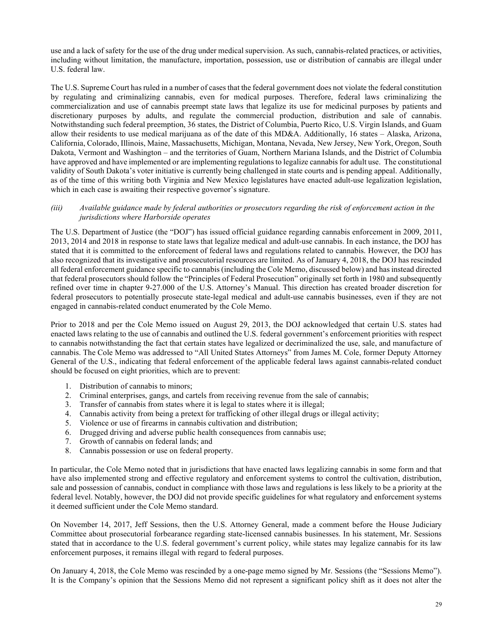use and a lack of safety for the use of the drug under medical supervision. As such, cannabis-related practices, or activities, including without limitation, the manufacture, importation, possession, use or distribution of cannabis are illegal under U.S. federal law.

The U.S. Supreme Court has ruled in a number of cases that the federal government does not violate the federal constitution by regulating and criminalizing cannabis, even for medical purposes. Therefore, federal laws criminalizing the commercialization and use of cannabis preempt state laws that legalize its use for medicinal purposes by patients and discretionary purposes by adults, and regulate the commercial production, distribution and sale of cannabis. Notwithstanding such federal preemption, 36 states, the District of Columbia, Puerto Rico, U.S. Virgin Islands, and Guam allow their residents to use medical marijuana as of the date of this MD&A. Additionally, 16 states – Alaska, Arizona, California, Colorado, Illinois, Maine, Massachusetts, Michigan, Montana, Nevada, New Jersey, New York, Oregon, South Dakota, Vermont and Washington – and the territories of Guam, Northern Mariana Islands, and the District of Columbia have approved and have implemented or are implementing regulations to legalize cannabis for adult use. The constitutional validity of South Dakota's voter initiative is currently being challenged in state courts and is pending appeal. Additionally, as of the time of this writing both Virginia and New Mexico legislatures have enacted adult-use legalization legislation, which in each case is awaiting their respective governor's signature.

## (iii) Available guidance made by federal authorities or prosecutors regarding the risk of enforcement action in the jurisdictions where Harborside operates

The U.S. Department of Justice (the "DOJ") has issued official guidance regarding cannabis enforcement in 2009, 2011, 2013, 2014 and 2018 in response to state laws that legalize medical and adult-use cannabis. In each instance, the DOJ has stated that it is committed to the enforcement of federal laws and regulations related to cannabis. However, the DOJ has also recognized that its investigative and prosecutorial resources are limited. As of January 4, 2018, the DOJ has rescinded all federal enforcement guidance specific to cannabis (including the Cole Memo, discussed below) and has instead directed that federal prosecutors should follow the "Principles of Federal Prosecution" originally set forth in 1980 and subsequently refined over time in chapter 9-27.000 of the U.S. Attorney's Manual. This direction has created broader discretion for federal prosecutors to potentially prosecute state-legal medical and adult-use cannabis businesses, even if they are not engaged in cannabis-related conduct enumerated by the Cole Memo.

Prior to 2018 and per the Cole Memo issued on August 29, 2013, the DOJ acknowledged that certain U.S. states had enacted laws relating to the use of cannabis and outlined the U.S. federal government's enforcement priorities with respect to cannabis notwithstanding the fact that certain states have legalized or decriminalized the use, sale, and manufacture of cannabis. The Cole Memo was addressed to "All United States Attorneys" from James M. Cole, former Deputy Attorney General of the U.S., indicating that federal enforcement of the applicable federal laws against cannabis-related conduct should be focused on eight priorities, which are to prevent:

- 1. Distribution of cannabis to minors;
- 2. Criminal enterprises, gangs, and cartels from receiving revenue from the sale of cannabis;
- 3. Transfer of cannabis from states where it is legal to states where it is illegal;
- 4. Cannabis activity from being a pretext for trafficking of other illegal drugs or illegal activity;
- 5. Violence or use of firearms in cannabis cultivation and distribution;
- 6. Drugged driving and adverse public health consequences from cannabis use;
- 7. Growth of cannabis on federal lands; and
- 8. Cannabis possession or use on federal property.

In particular, the Cole Memo noted that in jurisdictions that have enacted laws legalizing cannabis in some form and that have also implemented strong and effective regulatory and enforcement systems to control the cultivation, distribution, sale and possession of cannabis, conduct in compliance with those laws and regulations is less likely to be a priority at the federal level. Notably, however, the DOJ did not provide specific guidelines for what regulatory and enforcement systems it deemed sufficient under the Cole Memo standard.

On November 14, 2017, Jeff Sessions, then the U.S. Attorney General, made a comment before the House Judiciary Committee about prosecutorial forbearance regarding state-licensed cannabis businesses. In his statement, Mr. Sessions stated that in accordance to the U.S. federal government's current policy, while states may legalize cannabis for its law enforcement purposes, it remains illegal with regard to federal purposes.

On January 4, 2018, the Cole Memo was rescinded by a one-page memo signed by Mr. Sessions (the "Sessions Memo"). It is the Company's opinion that the Sessions Memo did not represent a significant policy shift as it does not alter the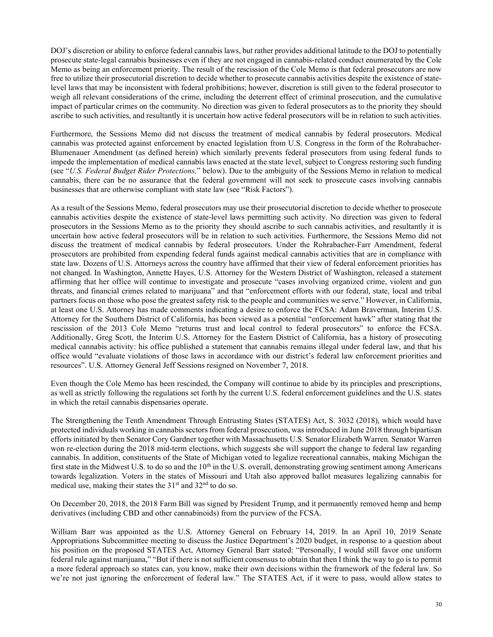DOJ's discretion or ability to enforce federal cannabis laws, but rather provides additional latitude to the DOJ to potentially prosecute state-legal cannabis businesses even if they are not engaged in cannabis-related conduct enumerated by the Cole Memo as being an enforcement priority. The result of the rescission of the Cole Memo is that federal prosecutors are now free to utilize their prosecutorial discretion to decide whether to prosecute cannabis activities despite the existence of statelevel laws that may be inconsistent with federal prohibitions; however, discretion is still given to the federal prosecutor to weigh all relevant considerations of the crime, including the deterrent effect of criminal prosecution, and the cumulative impact of particular crimes on the community. No direction was given to federal prosecutors as to the priority they should ascribe to such activities, and resultantly it is uncertain how active federal prosecutors will be in relation to such activities.

Furthermore, the Sessions Memo did not discuss the treatment of medical cannabis by federal prosecutors. Medical cannabis was protected against enforcement by enacted legislation from U.S. Congress in the form of the Rohrabacher-Blumenauer Amendment (as defined herein) which similarly prevents federal prosecutors from using federal funds to impede the implementation of medical cannabis laws enacted at the state level, subject to Congress restoring such funding (see "U.S. Federal Budget Rider Protections," below). Due to the ambiguity of the Sessions Memo in relation to medical cannabis, there can be no assurance that the federal government will not seek to prosecute cases involving cannabis businesses that are otherwise compliant with state law (see "Risk Factors").

As a result of the Sessions Memo, federal prosecutors may use their prosecutorial discretion to decide whether to prosecute cannabis activities despite the existence of state-level laws permitting such activity. No direction was given to federal prosecutors in the Sessions Memo as to the priority they should ascribe to such cannabis activities, and resultantly it is uncertain how active federal prosecutors will be in relation to such activities. Furthermore, the Sessions Memo did not discuss the treatment of medical cannabis by federal prosecutors. Under the Rohrabacher-Farr Amendment, federal prosecutors are prohibited from expending federal funds against medical cannabis activities that are in compliance with state law. Dozens of U.S. Attorneys across the country have affirmed that their view of federal enforcement priorities has not changed. In Washington, Annette Hayes, U.S. Attorney for the Western District of Washington, released a statement affirming that her office will continue to investigate and prosecute "cases involving organized crime, violent and gun threats, and financial crimes related to marijuana" and that "enforcement efforts with our federal, state, local and tribal partners focus on those who pose the greatest safety risk to the people and communities we serve." However, in California, at least one U.S. Attorney has made comments indicating a desire to enforce the FCSA: Adam Braverman, Interim U.S. Attorney for the Southern District of California, has been viewed as a potential "enforcement hawk" after stating that the rescission of the 2013 Cole Memo "returns trust and local control to federal prosecutors" to enforce the FCSA. Additionally, Greg Scott, the Interim U.S. Attorney for the Eastern District of California, has a history of prosecuting medical cannabis activity: his office published a statement that cannabis remains illegal under federal law, and that his office would "evaluate violations of those laws in accordance with our district's federal law enforcement priorities and resources". U.S. Attorney General Jeff Sessions resigned on November 7, 2018.

Even though the Cole Memo has been rescinded, the Company will continue to abide by its principles and prescriptions, as well as strictly following the regulations set forth by the current U.S. federal enforcement guidelines and the U.S. states in which the retail cannabis dispensaries operate.

The Strengthening the Tenth Amendment Through Entrusting States (STATES) Act, S. 3032 (2018), which would have protected individuals working in cannabis sectors from federal prosecution, was introduced in June 2018 through bipartisan efforts initiated by then Senator Cory Gardner together with Massachusetts U.S. Senator Elizabeth Warren. Senator Warren won re-election during the 2018 mid-term elections, which suggests she will support the change to federal law regarding cannabis. In addition, constituents of the State of Michigan voted to legalize recreational cannabis, making Michigan the first state in the Midwest U.S. to do so and the  $10<sup>th</sup>$  in the U.S. overall, demonstrating growing sentiment among Americans towards legalization. Voters in the states of Missouri and Utah also approved ballot measures legalizing cannabis for medical use, making their states the 31<sup>st</sup> and 32<sup>nd</sup> to do so.

On December 20, 2018, the 2018 Farm Bill was signed by President Trump, and it permanently removed hemp and hemp derivatives (including CBD and other cannabinoids) from the purview of the FCSA.

William Barr was appointed as the U.S. Attorney General on February 14, 2019. In an April 10, 2019 Senate Appropriations Subcommittee meeting to discuss the Justice Department's 2020 budget, in response to a question about his position on the proposed STATES Act, Attorney General Barr stated: "Personally, I would still favor one uniform federal rule against marijuana," "But if there is not sufficient consensus to obtain that then I think the way to go is to permit a more federal approach so states can, you know, make their own decisions within the framework of the federal law. So we're not just ignoring the enforcement of federal law." The STATES Act, if it were to pass, would allow states to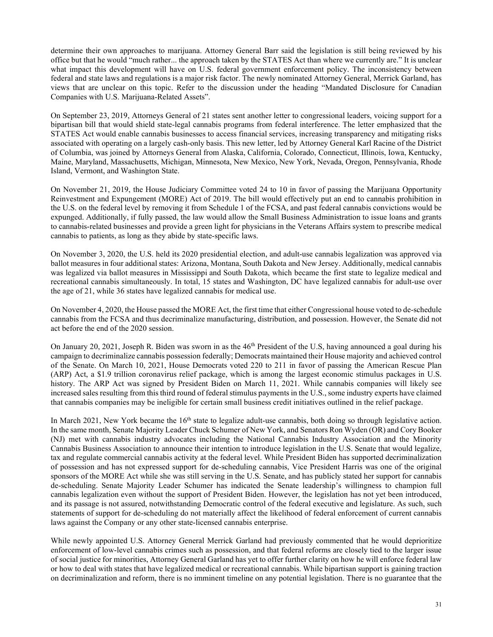determine their own approaches to marijuana. Attorney General Barr said the legislation is still being reviewed by his office but that he would "much rather... the approach taken by the STATES Act than where we currently are." It is unclear what impact this development will have on U.S. federal government enforcement policy. The inconsistency between federal and state laws and regulations is a major risk factor. The newly nominated Attorney General, Merrick Garland, has views that are unclear on this topic. Refer to the discussion under the heading "Mandated Disclosure for Canadian Companies with U.S. Marijuana-Related Assets".

On September 23, 2019, Attorneys General of 21 states sent another letter to congressional leaders, voicing support for a bipartisan bill that would shield state-legal cannabis programs from federal interference. The letter emphasized that the STATES Act would enable cannabis businesses to access financial services, increasing transparency and mitigating risks associated with operating on a largely cash-only basis. This new letter, led by Attorney General Karl Racine of the District of Columbia, was joined by Attorneys General from Alaska, California, Colorado, Connecticut, Illinois, Iowa, Kentucky, Maine, Maryland, Massachusetts, Michigan, Minnesota, New Mexico, New York, Nevada, Oregon, Pennsylvania, Rhode Island, Vermont, and Washington State.

On November 21, 2019, the House Judiciary Committee voted 24 to 10 in favor of passing the Marijuana Opportunity Reinvestment and Expungement (MORE) Act of 2019. The bill would effectively put an end to cannabis prohibition in the U.S. on the federal level by removing it from Schedule 1 of the FCSA, and past federal cannabis convictions would be expunged. Additionally, if fully passed, the law would allow the Small Business Administration to issue loans and grants to cannabis-related businesses and provide a green light for physicians in the Veterans Affairs system to prescribe medical cannabis to patients, as long as they abide by state-specific laws.

On November 3, 2020, the U.S. held its 2020 presidential election, and adult-use cannabis legalization was approved via ballot measures in four additional states: Arizona, Montana, South Dakota and New Jersey. Additionally, medical cannabis was legalized via ballot measures in Mississippi and South Dakota, which became the first state to legalize medical and recreational cannabis simultaneously. In total, 15 states and Washington, DC have legalized cannabis for adult-use over the age of 21, while 36 states have legalized cannabis for medical use.

On November 4, 2020, the House passed the MORE Act, the first time that either Congressional house voted to de-schedule cannabis from the FCSA and thus decriminalize manufacturing, distribution, and possession. However, the Senate did not act before the end of the 2020 session.

On January 20, 2021, Joseph R. Biden was sworn in as the  $46<sup>th</sup>$  President of the U.S, having announced a goal during his campaign to decriminalize cannabis possession federally; Democrats maintained their House majority and achieved control of the Senate. On March 10, 2021, House Democrats voted 220 to 211 in favor of passing the American Rescue Plan (ARP) Act, a \$1.9 trillion coronavirus relief package, which is among the largest economic stimulus packages in U.S. history. The ARP Act was signed by President Biden on March 11, 2021. While cannabis companies will likely see increased sales resulting from this third round of federal stimulus payments in the U.S., some industry experts have claimed that cannabis companies may be ineligible for certain small business credit initiatives outlined in the relief package.

In March 2021, New York became the 16<sup>th</sup> state to legalize adult-use cannabis, both doing so through legislative action. In the same month, Senate Majority Leader Chuck Schumer of New York, and Senators Ron Wyden (OR) and Cory Booker (NJ) met with cannabis industry advocates including the National Cannabis Industry Association and the Minority Cannabis Business Association to announce their intention to introduce legislation in the U.S. Senate that would legalize, tax and regulate commercial cannabis activity at the federal level. While President Biden has supported decriminalization of possession and has not expressed support for de-scheduling cannabis, Vice President Harris was one of the original sponsors of the MORE Act while she was still serving in the U.S. Senate, and has publicly stated her support for cannabis de-scheduling. Senate Majority Leader Schumer has indicated the Senate leadership's willingness to champion full cannabis legalization even without the support of President Biden. However, the legislation has not yet been introduced, and its passage is not assured, notwithstanding Democratic control of the federal executive and legislature. As such, such statements of support for de-scheduling do not materially affect the likelihood of federal enforcement of current cannabis laws against the Company or any other state-licensed cannabis enterprise.

While newly appointed U.S. Attorney General Merrick Garland had previously commented that he would deprioritize enforcement of low-level cannabis crimes such as possession, and that federal reforms are closely tied to the larger issue of social justice for minorities, Attorney General Garland has yet to offer further clarity on how he will enforce federal law or how to deal with states that have legalized medical or recreational cannabis. While bipartisan support is gaining traction on decriminalization and reform, there is no imminent timeline on any potential legislation. There is no guarantee that the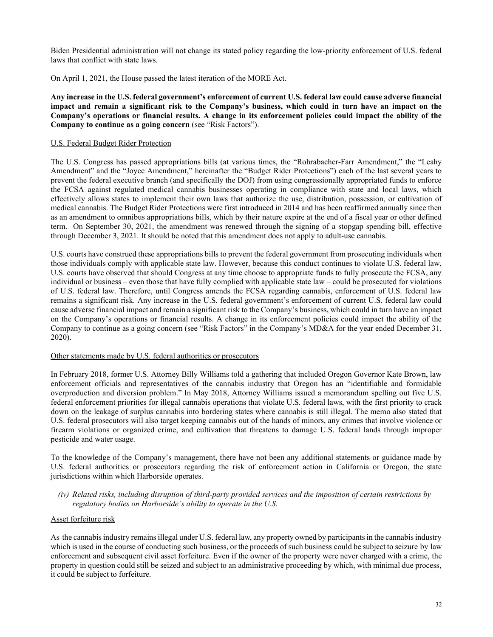Biden Presidential administration will not change its stated policy regarding the low-priority enforcement of U.S. federal laws that conflict with state laws.

On April 1, 2021, the House passed the latest iteration of the MORE Act.

Any increase in the U.S. federal government's enforcement of current U.S. federal law could cause adverse financial impact and remain a significant risk to the Company's business, which could in turn have an impact on the Company's operations or financial results. A change in its enforcement policies could impact the ability of the Company to continue as a going concern (see "Risk Factors").

## U.S. Federal Budget Rider Protection

The U.S. Congress has passed appropriations bills (at various times, the "Rohrabacher-Farr Amendment," the "Leahy Amendment" and the "Joyce Amendment," hereinafter the "Budget Rider Protections") each of the last several years to prevent the federal executive branch (and specifically the DOJ) from using congressionally appropriated funds to enforce the FCSA against regulated medical cannabis businesses operating in compliance with state and local laws, which effectively allows states to implement their own laws that authorize the use, distribution, possession, or cultivation of medical cannabis. The Budget Rider Protections were first introduced in 2014 and has been reaffirmed annually since then as an amendment to omnibus appropriations bills, which by their nature expire at the end of a fiscal year or other defined term. On September 30, 2021, the amendment was renewed through the signing of a stopgap spending bill, effective through December 3, 2021. It should be noted that this amendment does not apply to adult-use cannabis.

U.S. courts have construed these appropriations bills to prevent the federal government from prosecuting individuals when those individuals comply with applicable state law. However, because this conduct continues to violate U.S. federal law, U.S. courts have observed that should Congress at any time choose to appropriate funds to fully prosecute the FCSA, any individual or business – even those that have fully complied with applicable state law – could be prosecuted for violations of U.S. federal law. Therefore, until Congress amends the FCSA regarding cannabis, enforcement of U.S. federal law remains a significant risk. Any increase in the U.S. federal government's enforcement of current U.S. federal law could cause adverse financial impact and remain a significant risk to the Company's business, which could in turn have an impact on the Company's operations or financial results. A change in its enforcement policies could impact the ability of the Company to continue as a going concern (see "Risk Factors" in the Company's MD&A for the year ended December 31, 2020).

### Other statements made by U.S. federal authorities or prosecutors

In February 2018, former U.S. Attorney Billy Williams told a gathering that included Oregon Governor Kate Brown, law enforcement officials and representatives of the cannabis industry that Oregon has an "identifiable and formidable overproduction and diversion problem." In May 2018, Attorney Williams issued a memorandum spelling out five U.S. federal enforcement priorities for illegal cannabis operations that violate U.S. federal laws, with the first priority to crack down on the leakage of surplus cannabis into bordering states where cannabis is still illegal. The memo also stated that U.S. federal prosecutors will also target keeping cannabis out of the hands of minors, any crimes that involve violence or firearm violations or organized crime, and cultivation that threatens to damage U.S. federal lands through improper pesticide and water usage.

To the knowledge of the Company's management, there have not been any additional statements or guidance made by U.S. federal authorities or prosecutors regarding the risk of enforcement action in California or Oregon, the state jurisdictions within which Harborside operates.

(iv) Related risks, including disruption of third-party provided services and the imposition of certain restrictions by regulatory bodies on Harborside's ability to operate in the U.S.

#### Asset forfeiture risk

As the cannabis industry remains illegal under U.S. federal law, any property owned by participants in the cannabis industry which is used in the course of conducting such business, or the proceeds of such business could be subject to seizure by law enforcement and subsequent civil asset forfeiture. Even if the owner of the property were never charged with a crime, the property in question could still be seized and subject to an administrative proceeding by which, with minimal due process, it could be subject to forfeiture.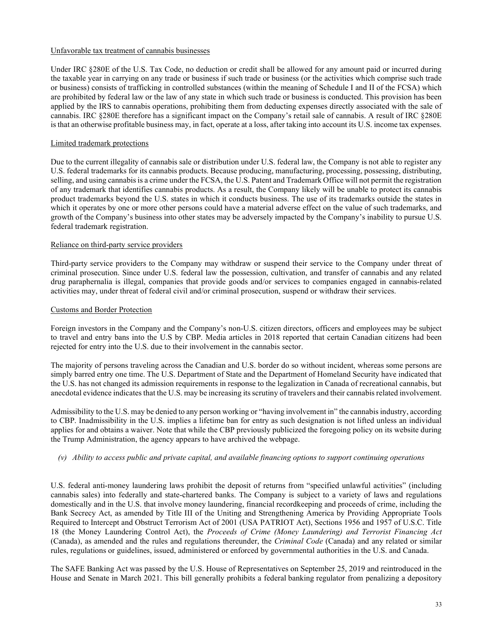## Unfavorable tax treatment of cannabis businesses

Under IRC §280E of the U.S. Tax Code, no deduction or credit shall be allowed for any amount paid or incurred during the taxable year in carrying on any trade or business if such trade or business (or the activities which comprise such trade or business) consists of trafficking in controlled substances (within the meaning of Schedule I and II of the FCSA) which are prohibited by federal law or the law of any state in which such trade or business is conducted. This provision has been applied by the IRS to cannabis operations, prohibiting them from deducting expenses directly associated with the sale of cannabis. IRC §280E therefore has a significant impact on the Company's retail sale of cannabis. A result of IRC §280E is that an otherwise profitable business may, in fact, operate at a loss, after taking into account its U.S. income tax expenses.

## Limited trademark protections

Due to the current illegality of cannabis sale or distribution under U.S. federal law, the Company is not able to register any U.S. federal trademarks for its cannabis products. Because producing, manufacturing, processing, possessing, distributing, selling, and using cannabis is a crime under the FCSA, the U.S. Patent and Trademark Office will not permit the registration of any trademark that identifies cannabis products. As a result, the Company likely will be unable to protect its cannabis product trademarks beyond the U.S. states in which it conducts business. The use of its trademarks outside the states in which it operates by one or more other persons could have a material adverse effect on the value of such trademarks, and growth of the Company's business into other states may be adversely impacted by the Company's inability to pursue U.S. federal trademark registration.

## Reliance on third-party service providers

Third-party service providers to the Company may withdraw or suspend their service to the Company under threat of criminal prosecution. Since under U.S. federal law the possession, cultivation, and transfer of cannabis and any related drug paraphernalia is illegal, companies that provide goods and/or services to companies engaged in cannabis-related activities may, under threat of federal civil and/or criminal prosecution, suspend or withdraw their services.

## Customs and Border Protection

Foreign investors in the Company and the Company's non-U.S. citizen directors, officers and employees may be subject to travel and entry bans into the U.S by CBP. Media articles in 2018 reported that certain Canadian citizens had been rejected for entry into the U.S. due to their involvement in the cannabis sector.

The majority of persons traveling across the Canadian and U.S. border do so without incident, whereas some persons are simply barred entry one time. The U.S. Department of State and the Department of Homeland Security have indicated that the U.S. has not changed its admission requirements in response to the legalization in Canada of recreational cannabis, but anecdotal evidence indicates that the U.S. may be increasing its scrutiny of travelers and their cannabis related involvement.

Admissibility to the U.S. may be denied to any person working or "having involvement in" the cannabis industry, according to CBP. Inadmissibility in the U.S. implies a lifetime ban for entry as such designation is not lifted unless an individual applies for and obtains a waiver. Note that while the CBP previously publicized the foregoing policy on its website during the Trump Administration, the agency appears to have archived the webpage.

## (v) Ability to access public and private capital, and available financing options to support continuing operations

U.S. federal anti-money laundering laws prohibit the deposit of returns from "specified unlawful activities" (including cannabis sales) into federally and state-chartered banks. The Company is subject to a variety of laws and regulations domestically and in the U.S. that involve money laundering, financial recordkeeping and proceeds of crime, including the Bank Secrecy Act, as amended by Title III of the Uniting and Strengthening America by Providing Appropriate Tools Required to Intercept and Obstruct Terrorism Act of 2001 (USA PATRIOT Act), Sections 1956 and 1957 of U.S.C. Title 18 (the Money Laundering Control Act), the Proceeds of Crime (Money Laundering) and Terrorist Financing Act (Canada), as amended and the rules and regulations thereunder, the Criminal Code (Canada) and any related or similar rules, regulations or guidelines, issued, administered or enforced by governmental authorities in the U.S. and Canada.

The SAFE Banking Act was passed by the U.S. House of Representatives on September 25, 2019 and reintroduced in the House and Senate in March 2021. This bill generally prohibits a federal banking regulator from penalizing a depository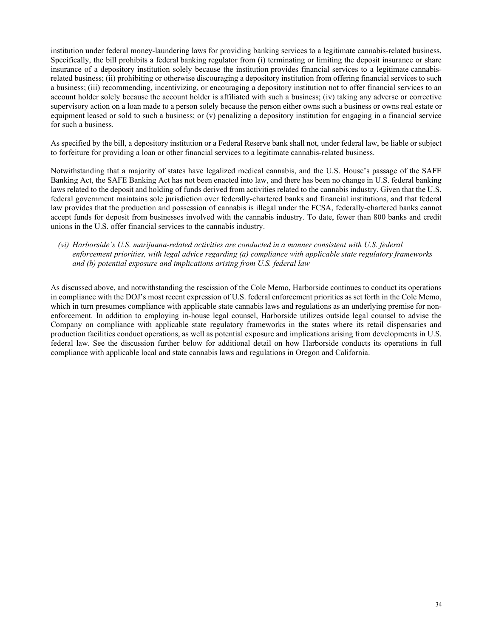institution under federal money-laundering laws for providing banking services to a legitimate cannabis-related business. Specifically, the bill prohibits a federal banking regulator from (i) terminating or limiting the deposit insurance or share insurance of a depository institution solely because the institution provides financial services to a legitimate cannabisrelated business; (ii) prohibiting or otherwise discouraging a depository institution from offering financial services to such a business; (iii) recommending, incentivizing, or encouraging a depository institution not to offer financial services to an account holder solely because the account holder is affiliated with such a business; (iv) taking any adverse or corrective supervisory action on a loan made to a person solely because the person either owns such a business or owns real estate or equipment leased or sold to such a business; or (v) penalizing a depository institution for engaging in a financial service for such a business.

As specified by the bill, a depository institution or a Federal Reserve bank shall not, under federal law, be liable or subject to forfeiture for providing a loan or other financial services to a legitimate cannabis-related business.

Notwithstanding that a majority of states have legalized medical cannabis, and the U.S. House's passage of the SAFE Banking Act, the SAFE Banking Act has not been enacted into law, and there has been no change in U.S. federal banking laws related to the deposit and holding of funds derived from activities related to the cannabis industry. Given that the U.S. federal government maintains sole jurisdiction over federally-chartered banks and financial institutions, and that federal law provides that the production and possession of cannabis is illegal under the FCSA, federally-chartered banks cannot accept funds for deposit from businesses involved with the cannabis industry. To date, fewer than 800 banks and credit unions in the U.S. offer financial services to the cannabis industry.

## (vi) Harborside's U.S. marijuana-related activities are conducted in a manner consistent with U.S. federal enforcement priorities, with legal advice regarding (a) compliance with applicable state regulatory frameworks and (b) potential exposure and implications arising from U.S. federal law

As discussed above, and notwithstanding the rescission of the Cole Memo, Harborside continues to conduct its operations in compliance with the DOJ's most recent expression of U.S. federal enforcement priorities as set forth in the Cole Memo, which in turn presumes compliance with applicable state cannabis laws and regulations as an underlying premise for nonenforcement. In addition to employing in-house legal counsel, Harborside utilizes outside legal counsel to advise the Company on compliance with applicable state regulatory frameworks in the states where its retail dispensaries and production facilities conduct operations, as well as potential exposure and implications arising from developments in U.S. federal law. See the discussion further below for additional detail on how Harborside conducts its operations in full compliance with applicable local and state cannabis laws and regulations in Oregon and California.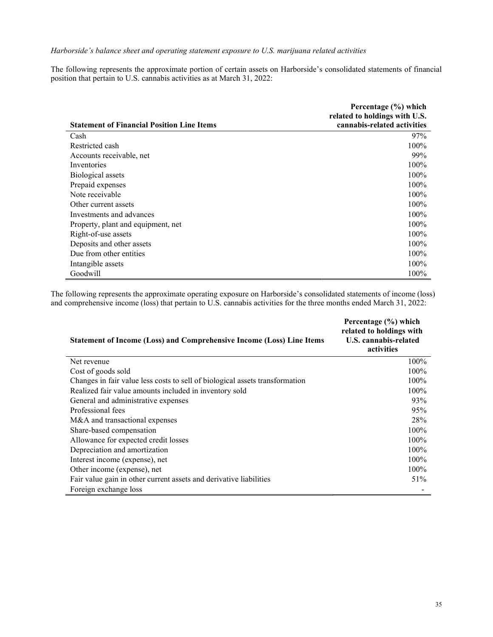## Harborside's balance sheet and operating statement exposure to U.S. marijuana related activities

The following represents the approximate portion of certain assets on Harborside's consolidated statements of financial position that pertain to U.S. cannabis activities as at March 31, 2022:

|                                                   | Percentage (%) which          |
|---------------------------------------------------|-------------------------------|
|                                                   | related to holdings with U.S. |
| <b>Statement of Financial Position Line Items</b> | cannabis-related activities   |
| Cash                                              | 97%                           |
| Restricted cash                                   | 100%                          |
| Accounts receivable, net                          | 99%                           |
| Inventories                                       | 100%                          |
| Biological assets                                 | $100\%$                       |
| Prepaid expenses                                  | $100\%$                       |
| Note receivable                                   | 100%                          |
| Other current assets                              | $100\%$                       |
| Investments and advances                          | $100\%$                       |
| Property, plant and equipment, net                | $100\%$                       |
| Right-of-use assets                               | 100%                          |
| Deposits and other assets                         | $100\%$                       |
| Due from other entities                           | 100%                          |
| Intangible assets                                 | 100%                          |
| Goodwill                                          | 100%                          |

The following represents the approximate operating exposure on Harborside's consolidated statements of income (loss) and comprehensive income (loss) that pertain to U.S. cannabis activities for the three months ended March 31, 2022:

| <b>Statement of Income (Loss) and Comprehensive Income (Loss) Line Items</b> | Percentage (%) which<br>related to holdings with<br><b>U.S. cannabis-related</b><br>activities |
|------------------------------------------------------------------------------|------------------------------------------------------------------------------------------------|
| Net revenue                                                                  | 100%                                                                                           |
| Cost of goods sold                                                           | 100%                                                                                           |
| Changes in fair value less costs to sell of biological assets transformation | 100%                                                                                           |
| Realized fair value amounts included in inventory sold                       | 100%                                                                                           |
| General and administrative expenses                                          | 93%                                                                                            |
| Professional fees                                                            | 95%                                                                                            |
| M&A and transactional expenses                                               | 28%                                                                                            |
| Share-based compensation                                                     | 100%                                                                                           |
| Allowance for expected credit losses                                         | 100%                                                                                           |
| Depreciation and amortization                                                | 100%                                                                                           |
| Interest income (expense), net                                               | 100%                                                                                           |
| Other income (expense), net                                                  | 100%                                                                                           |
| Fair value gain in other current assets and derivative liabilities           | 51%                                                                                            |
| Foreign exchange loss                                                        |                                                                                                |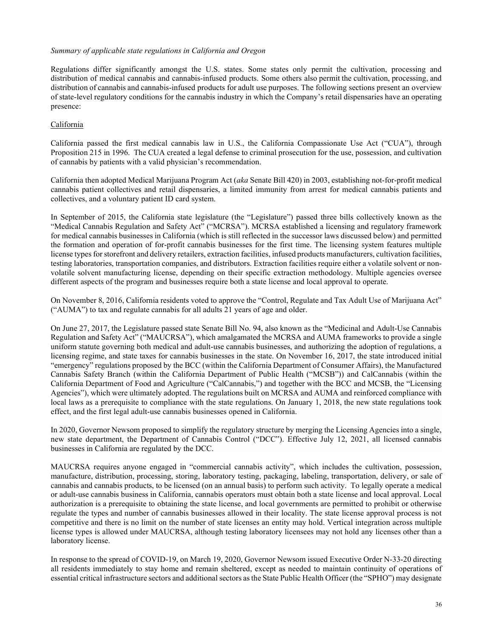## Summary of applicable state regulations in California and Oregon

Regulations differ significantly amongst the U.S. states. Some states only permit the cultivation, processing and distribution of medical cannabis and cannabis-infused products. Some others also permit the cultivation, processing, and distribution of cannabis and cannabis-infused products for adult use purposes. The following sections present an overview of state-level regulatory conditions for the cannabis industry in which the Company's retail dispensaries have an operating presence:

## California

California passed the first medical cannabis law in U.S., the California Compassionate Use Act ("CUA"), through Proposition 215 in 1996. The CUA created a legal defense to criminal prosecution for the use, possession, and cultivation of cannabis by patients with a valid physician's recommendation.

California then adopted Medical Marijuana Program Act (aka Senate Bill 420) in 2003, establishing not-for-profit medical cannabis patient collectives and retail dispensaries, a limited immunity from arrest for medical cannabis patients and collectives, and a voluntary patient ID card system.

In September of 2015, the California state legislature (the "Legislature") passed three bills collectively known as the "Medical Cannabis Regulation and Safety Act" ("MCRSA"). MCRSA established a licensing and regulatory framework for medical cannabis businesses in California (which is still reflected in the successor laws discussed below) and permitted the formation and operation of for-profit cannabis businesses for the first time. The licensing system features multiple license types for storefront and delivery retailers, extraction facilities, infused products manufacturers, cultivation facilities, testing laboratories, transportation companies, and distributors. Extraction facilities require either a volatile solvent or nonvolatile solvent manufacturing license, depending on their specific extraction methodology. Multiple agencies oversee different aspects of the program and businesses require both a state license and local approval to operate.

On November 8, 2016, California residents voted to approve the "Control, Regulate and Tax Adult Use of Marijuana Act" ("AUMA") to tax and regulate cannabis for all adults 21 years of age and older.

On June 27, 2017, the Legislature passed state Senate Bill No. 94, also known as the "Medicinal and Adult-Use Cannabis Regulation and Safety Act" ("MAUCRSA"), which amalgamated the MCRSA and AUMA frameworks to provide a single uniform statute governing both medical and adult-use cannabis businesses, and authorizing the adoption of regulations, a licensing regime, and state taxes for cannabis businesses in the state. On November 16, 2017, the state introduced initial "emergency" regulations proposed by the BCC (within the California Department of Consumer Affairs), the Manufactured Cannabis Safety Branch (within the California Department of Public Health ("MCSB")) and CalCannabis (within the California Department of Food and Agriculture ("CalCannabis,") and together with the BCC and MCSB, the "Licensing Agencies"), which were ultimately adopted. The regulations built on MCRSA and AUMA and reinforced compliance with local laws as a prerequisite to compliance with the state regulations. On January 1, 2018, the new state regulations took effect, and the first legal adult-use cannabis businesses opened in California.

In 2020, Governor Newsom proposed to simplify the regulatory structure by merging the Licensing Agencies into a single, new state department, the Department of Cannabis Control ("DCC"). Effective July 12, 2021, all licensed cannabis businesses in California are regulated by the DCC.

MAUCRSA requires anyone engaged in "commercial cannabis activity", which includes the cultivation, possession, manufacture, distribution, processing, storing, laboratory testing, packaging, labeling, transportation, delivery, or sale of cannabis and cannabis products, to be licensed (on an annual basis) to perform such activity. To legally operate a medical or adult-use cannabis business in California, cannabis operators must obtain both a state license and local approval. Local authorization is a prerequisite to obtaining the state license, and local governments are permitted to prohibit or otherwise regulate the types and number of cannabis businesses allowed in their locality. The state license approval process is not competitive and there is no limit on the number of state licenses an entity may hold. Vertical integration across multiple license types is allowed under MAUCRSA, although testing laboratory licensees may not hold any licenses other than a laboratory license.

In response to the spread of COVID-19, on March 19, 2020, Governor Newsom issued Executive Order N-33-20 directing all residents immediately to stay home and remain sheltered, except as needed to maintain continuity of operations of essential critical infrastructure sectors and additional sectors as the State Public Health Officer (the "SPHO") may designate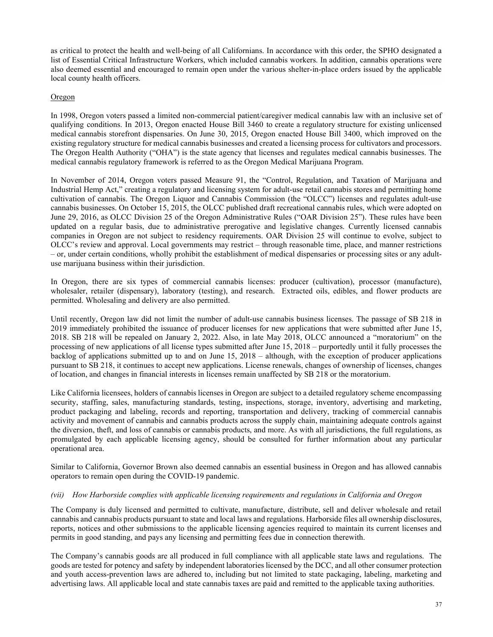as critical to protect the health and well-being of all Californians. In accordance with this order, the SPHO designated a list of Essential Critical Infrastructure Workers, which included cannabis workers. In addition, cannabis operations were also deemed essential and encouraged to remain open under the various shelter-in-place orders issued by the applicable local county health officers.

## **Oregon**

In 1998, Oregon voters passed a limited non-commercial patient/caregiver medical cannabis law with an inclusive set of qualifying conditions. In 2013, Oregon enacted House Bill 3460 to create a regulatory structure for existing unlicensed medical cannabis storefront dispensaries. On June 30, 2015, Oregon enacted House Bill 3400, which improved on the existing regulatory structure for medical cannabis businesses and created a licensing process for cultivators and processors. The Oregon Health Authority ("OHA") is the state agency that licenses and regulates medical cannabis businesses. The medical cannabis regulatory framework is referred to as the Oregon Medical Marijuana Program.

In November of 2014, Oregon voters passed Measure 91, the "Control, Regulation, and Taxation of Marijuana and Industrial Hemp Act," creating a regulatory and licensing system for adult-use retail cannabis stores and permitting home cultivation of cannabis. The Oregon Liquor and Cannabis Commission (the "OLCC") licenses and regulates adult-use cannabis businesses. On October 15, 2015, the OLCC published draft recreational cannabis rules, which were adopted on June 29, 2016, as OLCC Division 25 of the Oregon Administrative Rules ("OAR Division 25"). These rules have been updated on a regular basis, due to administrative prerogative and legislative changes. Currently licensed cannabis companies in Oregon are not subject to residency requirements. OAR Division 25 will continue to evolve, subject to OLCC's review and approval. Local governments may restrict – through reasonable time, place, and manner restrictions – or, under certain conditions, wholly prohibit the establishment of medical dispensaries or processing sites or any adultuse marijuana business within their jurisdiction.

In Oregon, there are six types of commercial cannabis licenses: producer (cultivation), processor (manufacture), wholesaler, retailer (dispensary), laboratory (testing), and research. Extracted oils, edibles, and flower products are permitted. Wholesaling and delivery are also permitted.

Until recently, Oregon law did not limit the number of adult-use cannabis business licenses. The passage of SB 218 in 2019 immediately prohibited the issuance of producer licenses for new applications that were submitted after June 15, 2018. SB 218 will be repealed on January 2, 2022. Also, in late May 2018, OLCC announced a "moratorium" on the processing of new applications of all license types submitted after June 15, 2018 – purportedly until it fully processes the backlog of applications submitted up to and on June 15, 2018 – although, with the exception of producer applications pursuant to SB 218, it continues to accept new applications. License renewals, changes of ownership of licenses, changes of location, and changes in financial interests in licenses remain unaffected by SB 218 or the moratorium.

Like California licensees, holders of cannabis licenses in Oregon are subject to a detailed regulatory scheme encompassing security, staffing, sales, manufacturing standards, testing, inspections, storage, inventory, advertising and marketing, product packaging and labeling, records and reporting, transportation and delivery, tracking of commercial cannabis activity and movement of cannabis and cannabis products across the supply chain, maintaining adequate controls against the diversion, theft, and loss of cannabis or cannabis products, and more. As with all jurisdictions, the full regulations, as promulgated by each applicable licensing agency, should be consulted for further information about any particular operational area.

Similar to California, Governor Brown also deemed cannabis an essential business in Oregon and has allowed cannabis operators to remain open during the COVID-19 pandemic.

#### (vii) How Harborside complies with applicable licensing requirements and regulations in California and Oregon

The Company is duly licensed and permitted to cultivate, manufacture, distribute, sell and deliver wholesale and retail cannabis and cannabis products pursuant to state and local laws and regulations. Harborside files all ownership disclosures, reports, notices and other submissions to the applicable licensing agencies required to maintain its current licenses and permits in good standing, and pays any licensing and permitting fees due in connection therewith.

The Company's cannabis goods are all produced in full compliance with all applicable state laws and regulations. The goods are tested for potency and safety by independent laboratories licensed by the DCC, and all other consumer protection and youth access-prevention laws are adhered to, including but not limited to state packaging, labeling, marketing and advertising laws. All applicable local and state cannabis taxes are paid and remitted to the applicable taxing authorities.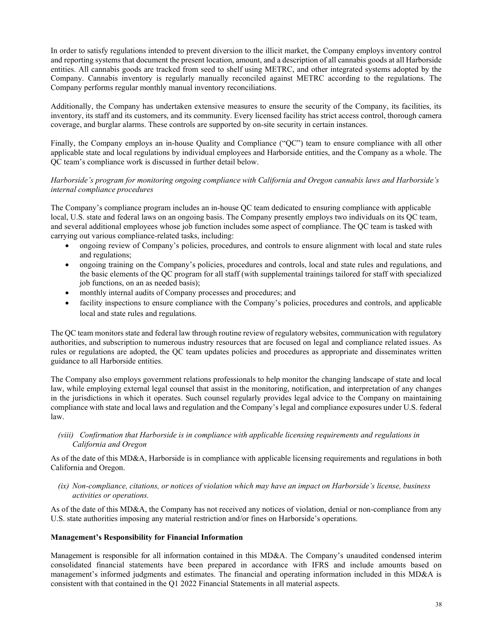In order to satisfy regulations intended to prevent diversion to the illicit market, the Company employs inventory control and reporting systems that document the present location, amount, and a description of all cannabis goods at all Harborside entities. All cannabis goods are tracked from seed to shelf using METRC, and other integrated systems adopted by the Company. Cannabis inventory is regularly manually reconciled against METRC according to the regulations. The Company performs regular monthly manual inventory reconciliations.

Additionally, the Company has undertaken extensive measures to ensure the security of the Company, its facilities, its inventory, its staff and its customers, and its community. Every licensed facility has strict access control, thorough camera coverage, and burglar alarms. These controls are supported by on-site security in certain instances.

Finally, the Company employs an in-house Quality and Compliance ("QC") team to ensure compliance with all other applicable state and local regulations by individual employees and Harborside entities, and the Company as a whole. The QC team's compliance work is discussed in further detail below.

## Harborside's program for monitoring ongoing compliance with California and Oregon cannabis laws and Harborside's internal compliance procedures

The Company's compliance program includes an in-house QC team dedicated to ensuring compliance with applicable local, U.S. state and federal laws on an ongoing basis. The Company presently employs two individuals on its QC team, and several additional employees whose job function includes some aspect of compliance. The QC team is tasked with carrying out various compliance-related tasks, including:

- ongoing review of Company's policies, procedures, and controls to ensure alignment with local and state rules and regulations;
- ongoing training on the Company's policies, procedures and controls, local and state rules and regulations, and the basic elements of the QC program for all staff (with supplemental trainings tailored for staff with specialized job functions, on an as needed basis);
- monthly internal audits of Company processes and procedures; and
- facility inspections to ensure compliance with the Company's policies, procedures and controls, and applicable local and state rules and regulations.

The QC team monitors state and federal law through routine review of regulatory websites, communication with regulatory authorities, and subscription to numerous industry resources that are focused on legal and compliance related issues. As rules or regulations are adopted, the QC team updates policies and procedures as appropriate and disseminates written guidance to all Harborside entities.

The Company also employs government relations professionals to help monitor the changing landscape of state and local law, while employing external legal counsel that assist in the monitoring, notification, and interpretation of any changes in the jurisdictions in which it operates. Such counsel regularly provides legal advice to the Company on maintaining compliance with state and local laws and regulation and the Company's legal and compliance exposures under U.S. federal law.

(viii) Confirmation that Harborside is in compliance with applicable licensing requirements and regulations in California and Oregon

As of the date of this MD&A, Harborside is in compliance with applicable licensing requirements and regulations in both California and Oregon.

(ix) Non-compliance, citations, or notices of violation which may have an impact on Harborside's license, business activities or operations.

As of the date of this MD&A, the Company has not received any notices of violation, denial or non-compliance from any U.S. state authorities imposing any material restriction and/or fines on Harborside's operations.

## Management's Responsibility for Financial Information

Management is responsible for all information contained in this MD&A. The Company's unaudited condensed interim consolidated financial statements have been prepared in accordance with IFRS and include amounts based on management's informed judgments and estimates. The financial and operating information included in this MD&A is consistent with that contained in the Q1 2022 Financial Statements in all material aspects.